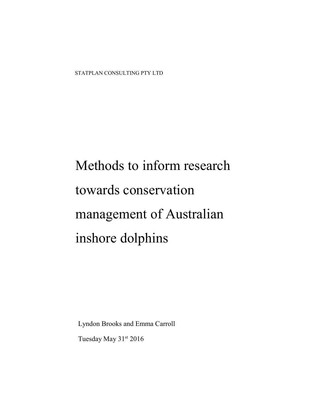Lyndon Brooks and Emma Carroll

Tuesday May 31st 2016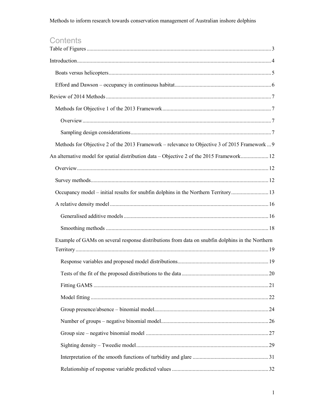# Contents

| Methods for Objective 2 of the 2013 Framework – relevance to Objective 3 of 2015 Framework  9   |  |
|-------------------------------------------------------------------------------------------------|--|
| An alternative model for spatial distribution data – Objective 2 of the 2015 Framework 12       |  |
|                                                                                                 |  |
|                                                                                                 |  |
| Occupancy model – initial results for snubfin dolphins in the Northern Territory13              |  |
|                                                                                                 |  |
|                                                                                                 |  |
|                                                                                                 |  |
| Example of GAMs on several response distributions from data on snubfin dolphins in the Northern |  |
|                                                                                                 |  |
|                                                                                                 |  |
|                                                                                                 |  |
|                                                                                                 |  |
|                                                                                                 |  |
|                                                                                                 |  |
|                                                                                                 |  |
|                                                                                                 |  |
|                                                                                                 |  |
|                                                                                                 |  |
|                                                                                                 |  |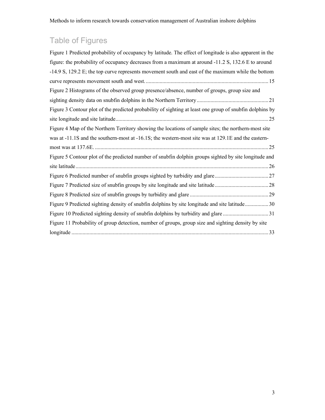# <span id="page-3-0"></span>Table of Figures

| Figure 1 Predicted probability of occupancy by latitude. The effect of longitude is also apparent in the |
|----------------------------------------------------------------------------------------------------------|
| figure: the probability of occupancy decreases from a maximum at around -11.2 S, 132.6 E to around       |
| $-14.9$ S, 129.2 E; the top curve represents movement south and east of the maximum while the bottom     |
|                                                                                                          |
| Figure 2 Histograms of the observed group presence/absence, number of groups, group size and             |
|                                                                                                          |
| Figure 3 Contour plot of the predicted probability of sighting at least one group of snubfin dolphins by |
|                                                                                                          |
| Figure 4 Map of the Northern Territory showing the locations of sample sites; the northern-most site     |
| was at -11.1S and the southern-most at -16.1S; the western-most site was at 129.1E and the eastern-      |
|                                                                                                          |
| Figure 5 Contour plot of the predicted number of snubfin dolphin groups sighted by site longitude and    |
|                                                                                                          |
|                                                                                                          |
|                                                                                                          |
|                                                                                                          |
| Figure 9 Predicted sighting density of snubfin dolphins by site longitude and site latitude30            |
|                                                                                                          |
| Figure 11 Probability of group detection, number of groups, group size and sighting density by site      |
|                                                                                                          |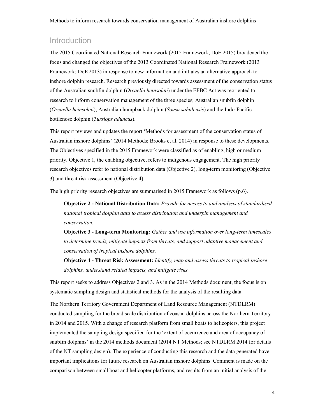# <span id="page-4-0"></span>Introduction

The 2015 Coordinated National Research Framework (2015 Framework; DoE 2015) broadened the focus and changed the objectives of the 2013 Coordinated National Research Framework (2013 Framework; DoE 2013) in response to new information and initiates an alternative approach to inshore dolphin research. Research previously directed towards assessment of the conservation status of the Australian snubfin dolphin (*Orcaella heinsohni*) under the EPBC Act was reoriented to research to inform conservation management of the three species; Australian snubfin dolphin (*Orcaella heinsohni*), Australian humpback dolphin (*Sousa sahulensis*) and the Indo-Pacific bottlenose dolphin (*Tursiops aduncus*).

This report reviews and updates the report 'Methods for assessment of the conservation status of Australian inshore dolphins' (2014 Methods; Brooks et al. 2014) in response to these developments. The Objectives specified in the 2015 Framework were classified as of enabling, high or medium priority. Objective 1, the enabling objective, refers to indigenous engagement. The high priority research objectives refer to national distribution data (Objective 2), long-term monitoring (Objective 3) and threat risk assessment (Objective 4).

The high priority research objectives are summarised in 2015 Framework as follows (p.6).

Objective 2 - National Distribution Data: *Provide for access to and analysis of standardised national tropical dolphin data to assess distribution and underpin management and conservation.* 

Objective 3 - Long-term Monitoring: *Gather and use information over long-term timescales to determine trends, mitigate impacts from threats, and support adaptive management and conservation of tropical inshore dolphins.* 

Objective 4 - Threat Risk Assessment: *Identify, map and assess threats to tropical inshore dolphins, understand related impacts, and mitigate risks.*

This report seeks to address Objectives 2 and 3. As in the 2014 Methods document, the focus is on systematic sampling design and statistical methods for the analysis of the resulting data.

The Northern Territory Government Department of Land Resource Management (NTDLRM) conducted sampling for the broad scale distribution of coastal dolphins across the Northern Territory in 2014 and 2015. With a change of research platform from small boats to helicopters, this project implemented the sampling design specified for the 'extent of occurrence and area of occupancy of snubfin dolphins' in the 2014 methods document (2014 NT Methods; see NTDLRM 2014 for details of the NT sampling design). The experience of conducting this research and the data generated have important implications for future research on Australian inshore dolphins. Comment is made on the comparison between small boat and helicopter platforms, and results from an initial analysis of the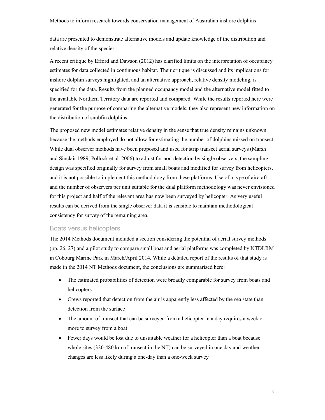data are presented to demonstrate alternative models and update knowledge of the distribution and relative density of the species.

A recent critique by Efford and Dawson (2012) has clarified limits on the interpretation of occupancy estimates for data collected in continuous habitat. Their critique is discussed and its implications for inshore dolphin surveys highlighted, and an alternative approach, relative density modeling, is specified for the data. Results from the planned occupancy model and the alternative model fitted to the available Northern Territory data are reported and compared. While the results reported here were generated for the purpose of comparing the alternative models, they also represent new information on the distribution of snubfin dolphins.

The proposed new model estimates relative density in the sense that true density remains unknown because the methods employed do not allow for estimating the number of dolphins missed on transect. While dual observer methods have been proposed and used for strip transect aerial surveys (Marsh and Sinclair 1989, Pollock et al. 2006) to adjust for non-detection by single observers, the sampling design was specified originally for survey from small boats and modified for survey from helicopters, and it is not possible to implement this methodology from these platforms. Use of a type of aircraft and the number of observers per unit suitable for the dual platform methodology was never envisioned for this project and half of the relevant area has now been surveyed by helicopter. As very useful results can be derived from the single observer data it is sensible to maintain methodological consistency for survey of the remaining area.

#### Boats versus helicopters

<span id="page-5-0"></span>The 2014 Methods document included a section considering the potential of aerial survey methods (pp. 26, 27) and a pilot study to compare small boat and aerial platforms was completed by NTDLRM in Cobourg Marine Park in March/April 2014. While a detailed report of the results of that study is made in the 2014 NT Methods document, the conclusions are summarised here:

- The estimated probabilities of detection were broadly comparable for survey from boats and helicopters
- Crews reported that detection from the air is apparently less affected by the sea state than detection from the surface
- The amount of transect that can be surveyed from a helicopter in a day requires a week or more to survey from a boat
- Fewer days would be lost due to unsuitable weather for a helicopter than a boat because whole sites (320-480 km of transect in the NT) can be surveyed in one day and weather changes are less likely during a one-day than a one-week survey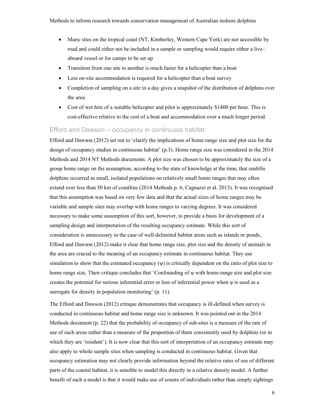- Many sites on the tropical coast (NT, Kimberley, Western Cape York) are not accessible by road and could either not be included in a sample or sampling would require either a live– aboard vessel or for camps to be set up
- Transition from one site to another is much faster for a helicopter than a boat
- Less on-site accommodation is required for a helicopter than a boat survey
- Completion of sampling on a site in a day gives a snapshot of the distribution of dolphins over the area
- Cost of wet hire of a suitable helicopter and pilot is approximately \$1400 per hour. This is cost-effective relative to the cost of a boat and accommodation over a much longer period.

#### Efford and Dawson – occupancy in continuous habitat

<span id="page-6-0"></span>Efford and Dawson (2012) set out to 'clarify the implications of home range size and plot size for the design of occupancy studies in continuous habitat' (p.3). Home range size was considered in the 2014 Methods and 2014 NT Methods documents. A plot size was chosen to be approximately the size of a group home range on the assumption, according to the state of knowledge at the time, that snubfin dolphins occurred in small, isolated populations on relatively small home ranges that may often extend over less than 50 km of coastline (2014 Methods p. 6; Cagnazzi et al. 2013). It was recognised that this assumption was based on very few data and that the actual sizes of home ranges may be variable and sample sites may overlap with home ranges to varying degrees. It was considered necessary to make some assumption of this sort, however, to provide a basis for development of a sampling design and interpretation of the resulting occupancy estimate. While this sort of consideration is unnecessary in the case of well-delimited habitat areas such as islands or ponds, Efford and Dawson (2012) make it clear that home range size, plot size and the density of animals in the area are crucial to the meaning of an occupancy estimate in continuous habitat. They use simulation to show that the estimated occupancy (ψ) is critically dependent on the ratio of plot size to home range size. Their critique concludes that 'Confounding of ψ with home-range size and plot size creates the potential for serious inferential error or loss of inferential power when  $\psi$  is used as a surrogate for density in population monitoring' (p. 11).

The Efford and Dawson (2012) critique demonstrates that occupancy is ill-defined when survey is conducted in continuous habitat and home range size is unknown. It was pointed out in the 2014 Methods document (p. 22) that the probability of occupancy of sub-sites is a measure of the rate of use of such areas rather than a measure of the proportion of them consistently used by dolphins (or in which they are 'resident'). It is now clear that this sort of interpretation of an occupancy estimate may also apply to whole sample sites when sampling is conducted in continuous habitat. Given that occupancy estimation may not clearly provide information beyond the relative rates of use of different parts of the coastal habitat, it is sensible to model this directly in a relative density model. A further benefit of such a model is that it would make use of counts of individuals rather than simply sightings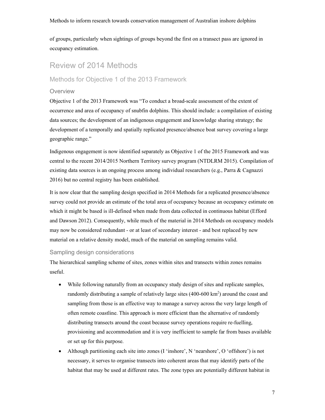of groups, particularly when sightings of groups beyond the first on a transect pass are ignored in occupancy estimation.

# <span id="page-7-0"></span>Review of 2014 Methods

### <span id="page-7-1"></span>Methods for Objective 1 of the 2013 Framework

#### <span id="page-7-2"></span>**Overview**

Objective 1 of the 2013 Framework was "To conduct a broad-scale assessment of the extent of occurrence and area of occupancy of snubfin dolphins. This should include: a compilation of existing data sources; the development of an indigenous engagement and knowledge sharing strategy; the development of a temporally and spatially replicated presence/absence boat survey covering a large geographic range."

Indigenous engagement is now identified separately as Objective 1 of the 2015 Framework and was central to the recent 2014/2015 Northern Territory survey program (NTDLRM 2015). Compilation of existing data sources is an ongoing process among individual researchers (e.g., Parra & Cagnazzi 2016) but no central registry has been established.

It is now clear that the sampling design specified in 2014 Methods for a replicated presence/absence survey could not provide an estimate of the total area of occupancy because an occupancy estimate on which it might be based is ill-defined when made from data collected in continuous habitat (Efford and Dawson 2012). Consequently, while much of the material in 2014 Methods on occupancy models may now be considered redundant - or at least of secondary interest - and best replaced by new material on a relative density model, much of the material on sampling remains valid.

#### Sampling design considerations

<span id="page-7-3"></span>The hierarchical sampling scheme of sites, zones within sites and transects within zones remains useful.

- While following naturally from an occupancy study design of sites and replicate samples, randomly distributing a sample of relatively large sites  $(400-600 \text{ km}^2)$  around the coast and sampling from those is an effective way to manage a survey across the very large length of often remote coastline. This approach is more efficient than the alternative of randomly distributing transects around the coast because survey operations require re-fuelling, provisioning and accommodation and it is very inefficient to sample far from bases available or set up for this purpose.
- Although partitioning each site into zones (I 'inshore', N 'nearshore', O 'offshore') is not necessary, it serves to organise transects into coherent areas that may identify parts of the habitat that may be used at different rates. The zone types are potentially different habitat in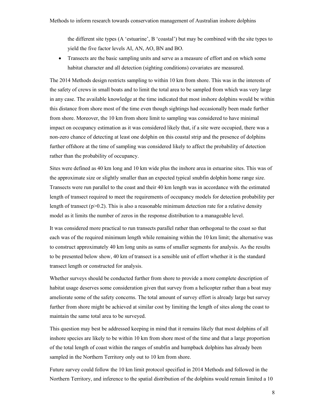the different site types (A 'estuarine', B 'coastal') but may be combined with the site types to yield the five factor levels AI, AN, AO, BN and BO.

 Transects are the basic sampling units and serve as a measure of effort and on which some habitat character and all detection (sighting conditions) covariates are measured.

The 2014 Methods design restricts sampling to within 10 km from shore. This was in the interests of the safety of crews in small boats and to limit the total area to be sampled from which was very large in any case. The available knowledge at the time indicated that most inshore dolphins would be within this distance from shore most of the time even though sightings had occasionally been made further from shore. Moreover, the 10 km from shore limit to sampling was considered to have minimal impact on occupancy estimation as it was considered likely that, if a site were occupied, there was a non-zero chance of detecting at least one dolphin on this coastal strip and the presence of dolphins further offshore at the time of sampling was considered likely to affect the probability of detection rather than the probability of occupancy.

Sites were defined as 40 km long and 10 km wide plus the inshore area in estuarine sites. This was of the approximate size or slightly smaller than an expected typical snubfin dolphin home range size. Transects were run parallel to the coast and their 40 km length was in accordance with the estimated length of transect required to meet the requirements of occupancy models for detection probability per length of transect ( $p>0.2$ ). This is also a reasonable minimum detection rate for a relative density model as it limits the number of zeros in the response distribution to a manageable level.

It was considered more practical to run transects parallel rather than orthogonal to the coast so that each was of the required minimum length while remaining within the 10 km limit; the alternative was to construct approximately 40 km long units as sums of smaller segments for analysis. As the results to be presented below show, 40 km of transect is a sensible unit of effort whether it is the standard transect length or constructed for analysis.

Whether surveys should be conducted further from shore to provide a more complete description of habitat usage deserves some consideration given that survey from a helicopter rather than a boat may ameliorate some of the safety concerns. The total amount of survey effort is already large but survey further from shore might be achieved at similar cost by limiting the length of sites along the coast to maintain the same total area to be surveyed.

This question may best be addressed keeping in mind that it remains likely that most dolphins of all inshore species are likely to be within 10 km from shore most of the time and that a large proportion of the total length of coast within the ranges of snubfin and humpback dolphins has already been sampled in the Northern Territory only out to 10 km from shore.

Future survey could follow the 10 km limit protocol specified in 2014 Methods and followed in the Northern Territory, and inference to the spatial distribution of the dolphins would remain limited a 10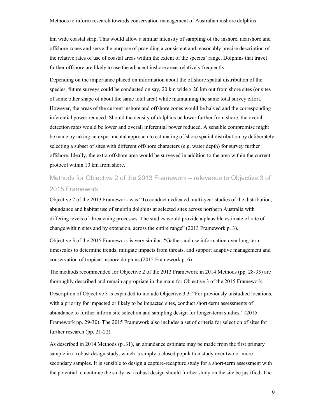km wide coastal strip. This would allow a similar intensity of sampling of the inshore, nearshore and offshore zones and serve the purpose of providing a consistent and reasonably precise description of the relative rates of use of coastal areas within the extent of the species' range. Dolphins that travel further offshore are likely to use the adjacent inshore areas relatively frequently.

Depending on the importance placed on information about the offshore spatial distribution of the species, future surveys could be conducted on say, 20 km wide x 20 km out from shore sites (or sites of some other shape of about the same total area) while maintaining the same total survey effort. However, the areas of the current inshore and offshore zones would be halved and the corresponding inferential power reduced. Should the density of dolphins be lower further from shore, the overall detection rates would be lower and overall inferential power reduced. A sensible compromise might be made by taking an experimental approach to estimating offshore spatial distribution by deliberately selecting a subset of sites with different offshore characters (e.g. water depth) for survey further offshore. Ideally, the extra offshore area would be surveyed in addition to the area within the current protocol within 10 km from shore.

# <span id="page-9-0"></span>Methods for Objective 2 of the 2013 Framework – relevance to Objective 3 of 2015 Framework

Objective 2 of the 2013 Framework was "To conduct dedicated multi-year studies of the distribution, abundance and habitat use of snubfin dolphins at selected sites across northern Australia with differing levels of threatening processes. The studies would provide a plausible estimate of rate of change within sites and by extension, across the entire range" (2013 Framework p. 3).

Objective 3 of the 2015 Framework is very similar: "Gather and use information over long-term timescales to determine trends, mitigate impacts from threats, and support adaptive management and conservation of tropical inshore dolphins (2015 Framework p. 6).

The methods recommended for Objective 2 of the 2013 Framework in 2014 Methods (pp. 28-35) are thoroughly described and remain appropriate in the main for Objective 3 of the 2015 Framework.

Description of Objective 3 is expanded to include Objective 3.3: "For previously unstudied locations, with a priority for impacted or likely to be impacted sites, conduct short-term assessments of abundance to further inform site selection and sampling design for longer-term studies." (2015 Framework pp. 29-30). The 2015 Framework also includes a set of criteria for selection of sites for further research (pp. 21-22).

As described in 2014 Methods (p .31), an abundance estimate may be made from the first primary sample in a robust design study, which is simply a closed population study over two or more secondary samples. It is sensible to design a capture-recapture study for a short-term assessment with the potential to continue the study as a robust design should further study on the site be justified. The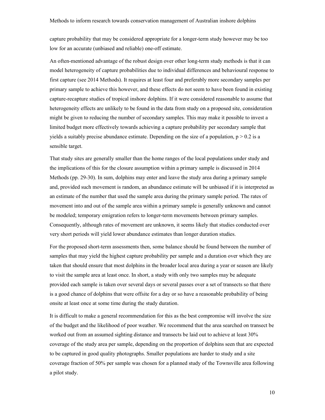capture probability that may be considered appropriate for a longer-term study however may be too low for an accurate (unbiased and reliable) one-off estimate.

An often-mentioned advantage of the robust design over other long-term study methods is that it can model heterogeneity of capture probabilities due to individual differences and behavioural response to first capture (see 2014 Methods). It requires at least four and preferably more secondary samples per primary sample to achieve this however, and these effects do not seem to have been found in existing capture-recapture studies of tropical inshore dolphins. If it were considered reasonable to assume that heterogeneity effects are unlikely to be found in the data from study on a proposed site, consideration might be given to reducing the number of secondary samples. This may make it possible to invest a limited budget more effectively towards achieving a capture probability per secondary sample that yields a suitably precise abundance estimate. Depending on the size of a population,  $p > 0.2$  is a sensible target.

That study sites are generally smaller than the home ranges of the local populations under study and the implications of this for the closure assumption within a primary sample is discussed in 2014 Methods (pp. 29-30). In sum, dolphins may enter and leave the study area during a primary sample and, provided such movement is random, an abundance estimate will be unbiased if it is interpreted as an estimate of the number that used the sample area during the primary sample period. The rates of movement into and out of the sample area within a primary sample is generally unknown and cannot be modeled; temporary emigration refers to longer-term movements between primary samples. Consequently, although rates of movement are unknown, it seems likely that studies conducted over very short periods will yield lower abundance estimates than longer duration studies.

For the proposed short-term assessments then, some balance should be found between the number of samples that may yield the highest capture probability per sample and a duration over which they are taken that should ensure that most dolphins in the broader local area during a year or season are likely to visit the sample area at least once. In short, a study with only two samples may be adequate provided each sample is taken over several days or several passes over a set of transects so that there is a good chance of dolphins that were offsite for a day or so have a reasonable probability of being onsite at least once at some time during the study duration.

It is difficult to make a general recommendation for this as the best compromise will involve the size of the budget and the likelihood of poor weather. We recommend that the area searched on transect be worked out from an assumed sighting distance and transects be laid out to achieve at least 30% coverage of the study area per sample, depending on the proportion of dolphins seen that are expected to be captured in good quality photographs. Smaller populations are harder to study and a site coverage fraction of 50% per sample was chosen for a planned study of the Townsville area following a pilot study.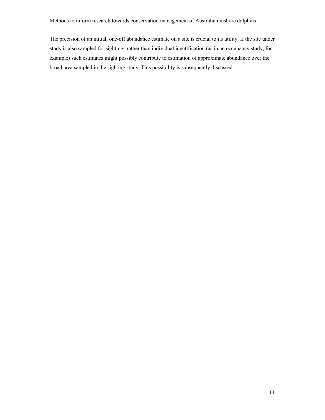The precision of an initial, one-off abundance estimate on a site is crucial to its utility. If the site under study is also sampled for sightings rather than individual identification (as in an occupancy study, for example) such estimates might possibly contribute to estimation of approximate abundance over the broad area sampled in the sighting study. This possibility is subsequently discussed.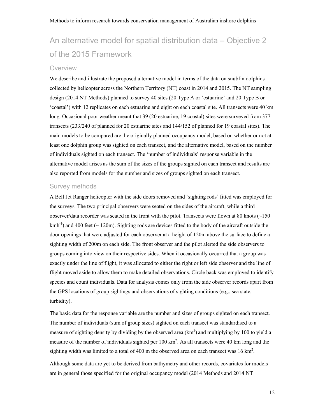# <span id="page-12-0"></span>An alternative model for spatial distribution data – Objective 2 of the 2015 Framework

#### <span id="page-12-1"></span>**Overview**

We describe and illustrate the proposed alternative model in terms of the data on snubfin dolphins collected by helicopter across the Northern Territory (NT) coast in 2014 and 2015. The NT sampling design (2014 NT Methods) planned to survey 40 sites (20 Type A or 'estuarine' and 20 Type B or 'coastal') with 12 replicates on each estuarine and eight on each coastal site. All transects were 40 km long. Occasional poor weather meant that 39 (20 estuarine, 19 coastal) sites were surveyed from 377 transects (233/240 of planned for 20 estuarine sites and 144/152 of planned for 19 coastal sites). The main models to be compared are the originally planned occupancy model, based on whether or not at least one dolphin group was sighted on each transect, and the alternative model, based on the number of individuals sighted on each transect. The 'number of individuals' response variable in the alternative model arises as the sum of the sizes of the groups sighted on each transect and results are also reported from models for the number and sizes of groups sighted on each transect.

#### Survey methods

<span id="page-12-2"></span>A Bell Jet Ranger helicopter with the side doors removed and 'sighting rods' fitted was employed for the surveys. The two principal observers were seated on the sides of the aircraft, while a third observer/data recorder was seated in the front with the pilot. Transects were flown at 80 knots  $(\sim 150$ kmh<sup>-1</sup>) and 400 feet ( $\sim$  120m). Sighting rods are devices fitted to the body of the aircraft outside the door openings that were adjusted for each observer at a height of 120m above the surface to define a sighting width of 200m on each side. The front observer and the pilot alerted the side observers to groups coming into view on their respective sides. When it occasionally occurred that a group was exactly under the line of flight, it was allocated to either the right or left side observer and the line of flight moved aside to allow them to make detailed observations. Circle back was employed to identify species and count individuals. Data for analysis comes only from the side observer records apart from the GPS locations of group sightings and observations of sighting conditions (e.g., sea state, turbidity).

The basic data for the response variable are the number and sizes of groups sighted on each transect. The number of individuals (sum of group sizes) sighted on each transect was standardised to a measure of sighting density by dividing by the observed area  $(km<sup>2</sup>)$  and multiplying by 100 to yield a measure of the number of individuals sighted per  $100 \text{ km}^2$ . As all transects were 40 km long and the sighting width was limited to a total of 400 m the observed area on each transect was 16 km<sup>2</sup>.

Although some data are yet to be derived from bathymetry and other records, covariates for models are in general those specified for the original occupancy model (2014 Methods and 2014 NT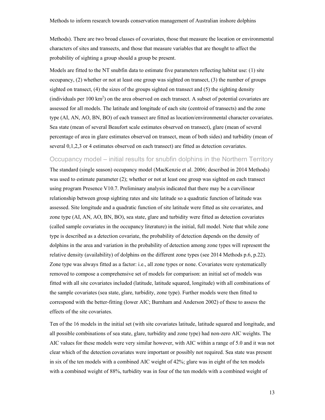Methods). There are two broad classes of covariates, those that measure the location or environmental characters of sites and transects, and those that measure variables that are thought to affect the probability of sighting a group should a group be present.

Models are fitted to the NT snubfin data to estimate five parameters reflecting habitat use: (1) site occupancy, (2) whether or not at least one group was sighted on transect, (3) the number of groups sighted on transect, (4) the sizes of the groups sighted on transect and (5) the sighting density (individuals per  $100 \text{ km}^2$ ) on the area observed on each transect. A subset of potential covariates are assessed for all models. The latitude and longitude of each site (centroid of transects) and the zone type (AI, AN, AO, BN, BO) of each transect are fitted as location/environmental character covariates. Sea state (mean of several Beaufort scale estimates observed on transect), glare (mean of several percentage of area in glare estimates observed on transect, mean of both sides) and turbidity (mean of several 0,1,2,3 or 4 estimates observed on each transect) are fitted as detection covariates.

#### Occupancy model – initial results for snubfin dolphins in the Northern Territory

<span id="page-13-0"></span>The standard (single season) occupancy model (MacKenzie et al. 2006; described in 2014 Methods) was used to estimate parameter (2); whether or not at least one group was sighted on each transect using program Presence V10.7. Preliminary analysis indicated that there may be a curvilinear relationship between group sighting rates and site latitude so a quadratic function of latitude was assessed. Site longitude and a quadratic function of site latitude were fitted as site covariates, and zone type (AI, AN, AO, BN, BO), sea state, glare and turbidity were fitted as detection covariates (called sample covariates in the occupancy literature) in the initial, full model. Note that while zone type is described as a detection covariate, the probability of detection depends on the density of dolphins in the area and variation in the probability of detection among zone types will represent the relative density (availability) of dolphins on the different zone types (see 2014 Methods p.6, p.22). Zone type was always fitted as a factor: i.e., all zone types or none. Covariates were systematically removed to compose a comprehensive set of models for comparison: an initial set of models was fitted with all site covariates included (latitude, latitude squared, longitude) with all combinations of the sample covariates (sea state, glare, turbidity, zone type). Further models were then fitted to correspond with the better-fitting (lower AIC; Burnham and Anderson 2002) of these to assess the effects of the site covariates.

Ten of the 16 models in the initial set (with site covariates latitude, latitude squared and longitude, and all possible combinations of sea state, glare, turbidity and zone type) had non-zero AIC weights. The AIC values for these models were very similar however, with AIC within a range of 5.0 and it was not clear which of the detection covariates were important or possibly not required. Sea state was present in six of the ten models with a combined AIC weight of 42%; glare was in eight of the ten models with a combined weight of 88%, turbidity was in four of the ten models with a combined weight of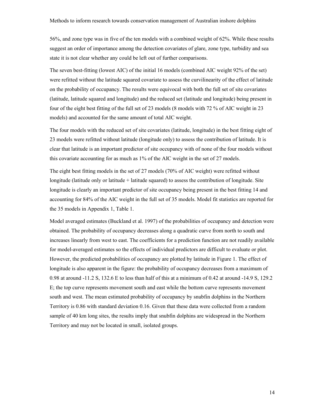56%, and zone type was in five of the ten models with a combined weight of 62%. While these results suggest an order of importance among the detection covariates of glare, zone type, turbidity and sea state it is not clear whether any could be left out of further comparisons.

The seven best-fitting (lowest AIC) of the initial 16 models (combined AIC weight 92% of the set) were refitted without the latitude squared covariate to assess the curvilinearity of the effect of latitude on the probability of occupancy. The results were equivocal with both the full set of site covariates (latitude, latitude squared and longitude) and the reduced set (latitude and longitude) being present in four of the eight best fitting of the full set of 23 models (8 models with 72 % of AIC weight in 23 models) and accounted for the same amount of total AIC weight.

The four models with the reduced set of site covariates (latitude, longitude) in the best fitting eight of 23 models were refitted without latitude (longitude only) to assess the contribution of latitude. It is clear that latitude is an important predictor of site occupancy with of none of the four models without this covariate accounting for as much as 1% of the AIC weight in the set of 27 models.

The eight best fitting models in the set of 27 models (70% of AIC weight) were refitted without longitude (latitude only or latitude + latitude squared) to assess the contribution of longitude. Site longitude is clearly an important predictor of site occupancy being present in the best fitting 14 and accounting for 84% of the AIC weight in the full set of 35 models. Model fit statistics are reported for the 35 models in Appendix 1, Table 1.

Model averaged estimates (Buckland et al. 1997) of the probabilities of occupancy and detection were obtained. The probability of occupancy decreases along a quadratic curve from north to south and increases linearly from west to east. The coefficients for a prediction function are not readily available for model-averaged estimates so the effects of individual predictors are difficult to evaluate or plot. However, the predicted probabilities of occupancy are plotted by latitude in Figure 1. The effect of longitude is also apparent in the figure: the probability of occupancy decreases from a maximum of 0.98 at around -11.2 S, 132.6 E to less than half of this at a minimum of 0.42 at around -14.9 S, 129.2 E; the top curve represents movement south and east while the bottom curve represents movement south and west. The mean estimated probability of occupancy by snubfin dolphins in the Northern Territory is 0.86 with standard deviation 0.16. Given that these data were collected from a random sample of 40 km long sites, the results imply that snubfin dolphins are widespread in the Northern Territory and may not be located in small, isolated groups.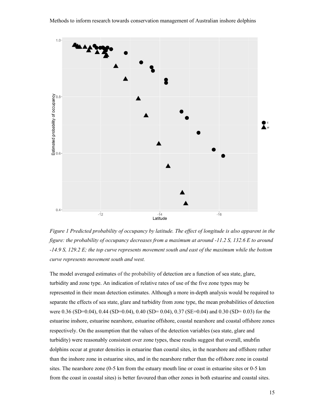

<span id="page-15-0"></span>*Figure 1 Predicted probability of occupancy by latitude. The effect of longitude is also apparent in the figure: the probability of occupancy decreases from a maximum at around -11.2 S, 132.6 E to around -14.9 S, 129.2 E; the top curve represents movement south and east of the maximum while the bottom curve represents movement south and west.*

The model averaged estimates of the probability of detection are a function of sea state, glare, turbidity and zone type. An indication of relative rates of use of the five zone types may be represented in their mean detection estimates. Although a more in-depth analysis would be required to separate the effects of sea state, glare and turbidity from zone type, the mean probabilities of detection were 0.36 (SD=0.04), 0.44 (SD=0.04), 0.40 (SD= 0.04), 0.37 (SE=0.04) and 0.30 (SD= 0.03) for the estuarine inshore, estuarine nearshore, estuarine offshore, coastal nearshore and coastal offshore zones respectively. On the assumption that the values of the detection variables (sea state, glare and turbidity) were reasonably consistent over zone types, these results suggest that overall, snubfin dolphins occur at greater densities in estuarine than coastal sites, in the nearshore and offshore rather than the inshore zone in estuarine sites, and in the nearshore rather than the offshore zone in coastal sites. The nearshore zone (0-5 km from the estuary mouth line or coast in estuarine sites or 0-5 km from the coast in coastal sites) is better favoured than other zones in both estuarine and coastal sites.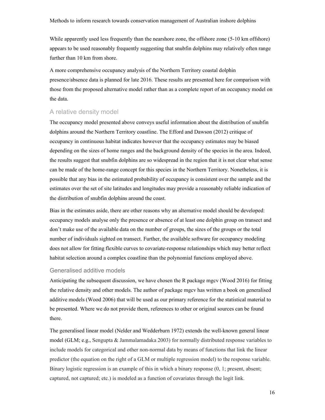While apparently used less frequently than the nearshore zone, the offshore zone (5-10 km offshore) appears to be used reasonably frequently suggesting that snubfin dolphins may relatively often range further than 10 km from shore.

A more comprehensive occupancy analysis of the Northern Territory coastal dolphin presence/absence data is planned for late 2016. These results are presented here for comparison with those from the proposed alternative model rather than as a complete report of an occupancy model on the data.

#### <span id="page-16-0"></span>A relative density model

The occupancy model presented above conveys useful information about the distribution of snubfin dolphins around the Northern Territory coastline. The Efford and Dawson (2012) critique of occupancy in continuous habitat indicates however that the occupancy estimates may be biased depending on the sizes of home ranges and the background density of the species in the area. Indeed, the results suggest that snubfin dolphins are so widespread in the region that it is not clear what sense can be made of the home-range concept for this species in the Northern Territory. Nonetheless, it is possible that any bias in the estimated probability of occupancy is consistent over the sample and the estimates over the set of site latitudes and longitudes may provide a reasonably reliable indication of the distribution of snubfin dolphins around the coast.

Bias in the estimates aside, there are other reasons why an alternative model should be developed: occupancy models analyse only the presence or absence of at least one dolphin group on transect and don't make use of the available data on the number of groups, the sizes of the groups or the total number of individuals sighted on transect. Further, the available software for occupancy modeling does not allow for fitting flexible curves to covariate-response relationships which may better reflect habitat selection around a complex coastline than the polynomial functions employed above.

#### Generalised additive models

<span id="page-16-1"></span>Anticipating the subsequent discussion, we have chosen the R package mgcv (Wood 2016) for fitting the relative density and other models. The author of package mgcv has written a book on generalised additive models (Wood 2006) that will be used as our primary reference for the statistical material to be presented. Where we do not provide them, references to other or original sources can be found there.

The generalised linear model (Nelder and Wedderburn 1972) extends the well-known general linear model (GLM; e.g., Sengupta & Jammalamadaka 2003) for normally distributed response variables to include models for categorical and other non-normal data by means of functions that link the linear predictor (the equation on the right of a GLM or multiple regression model) to the response variable. Binary logistic regression is an example of this in which a binary response (0, 1; present, absent; captured, not captured; etc.) is modeled as a function of covariates through the logit link.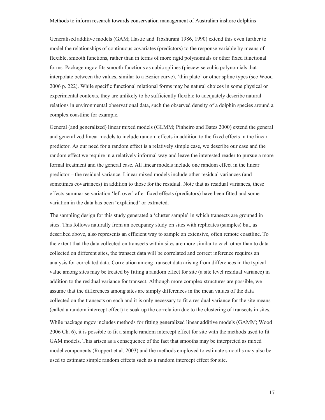Generalised additive models (GAM; Hastie and Tibshurani 1986, 1990) extend this even further to model the relationships of continuous covariates (predictors) to the response variable by means of flexible, smooth functions, rather than in terms of more rigid polynomials or other fixed functional forms. Package mgcv fits smooth functions as cubic splines (piecewise cubic polynomials that interpolate between the values, similar to a Bezier curve), 'thin plate' or other spline types (see Wood 2006 p. 222). While specific functional relational forms may be natural choices in some physical or experimental contexts, they are unlikely to be sufficiently flexible to adequately describe natural relations in environmental observational data, such the observed density of a dolphin species around a complex coastline for example.

General (and generalized) linear mixed models (GLMM; Pinheiro and Bates 2000) extend the general and generalized linear models to include random effects in addition to the fixed effects in the linear predictor. As our need for a random effect is a relatively simple case, we describe our case and the random effect we require in a relatively informal way and leave the interested reader to pursue a more formal treatment and the general case. All linear models include one random effect in the linear predictor – the residual variance. Linear mixed models include other residual variances (and sometimes covariances) in addition to those for the residual. Note that as residual variances, these effects summarise variation 'left over' after fixed effects (predictors) have been fitted and some variation in the data has been 'explained' or extracted.

The sampling design for this study generated a 'cluster sample' in which transects are grouped in sites. This follows naturally from an occupancy study on sites with replicates (samples) but, as described above, also represents an efficient way to sample an extensive, often remote coastline. To the extent that the data collected on transects within sites are more similar to each other than to data collected on different sites, the transect data will be correlated and correct inference requires an analysis for correlated data. Correlation among transect data arising from differences in the typical value among sites may be treated by fitting a random effect for site (a site level residual variance) in addition to the residual variance for transect. Although more complex structures are possible, we assume that the differences among sites are simply differences in the mean values of the data collected on the transects on each and it is only necessary to fit a residual variance for the site means (called a random intercept effect) to soak up the correlation due to the clustering of transects in sites.

While package mgcv includes methods for fitting generalized linear additive models (GAMM; Wood 2006 Ch. 6), it is possible to fit a simple random intercept effect for site with the methods used to fit GAM models. This arises as a consequence of the fact that smooths may be interpreted as mixed model components (Ruppert et al. 2003) and the methods employed to estimate smooths may also be used to estimate simple random effects such as a random intercept effect for site.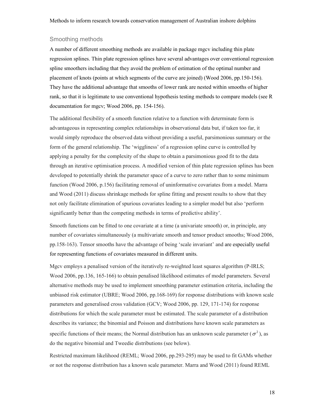#### <span id="page-18-0"></span>Smoothing methods

A number of different smoothing methods are available in package mgcv including thin plate regression splines. Thin plate regression splines have several advantages over conventional regression spline smoothers including that they avoid the problem of estimation of the optimal number and placement of knots (points at which segments of the curve are joined) (Wood 2006, pp.150-156). They have the additional advantage that smooths of lower rank are nested within smooths of higher rank, so that it is legitimate to use conventional hypothesis testing methods to compare models (see R documentation for mgcv; Wood 2006, pp. 154-156).

The additional flexibility of a smooth function relative to a function with determinate form is advantageous in representing complex relationships in observational data but, if taken too far, it would simply reproduce the observed data without providing a useful, parsimonious summary or the form of the general relationship. The 'wiggliness' of a regression spline curve is controlled by applying a penalty for the complexity of the shape to obtain a parsimonious good fit to the data through an iterative optimisation process. A modified version of thin plate regression splines has been developed to potentially shrink the parameter space of a curve to zero rather than to some minimum function (Wood 2006, p.156) facilitating removal of uninformative covariates from a model. Marra and Wood (2011) discuss shrinkage methods for spline fitting and present results to show that they not only facilitate elimination of spurious covariates leading to a simpler model but also 'perform significantly better than the competing methods in terms of predictive ability'.

Smooth functions can be fitted to one covariate at a time (a univariate smooth) or, in principle, any number of covariates simultaneously (a multivariate smooth and tensor product smooths; Wood 2006, pp.158-163). Tensor smooths have the advantage of being 'scale invariant' and are especially useful for representing functions of covariates measured in different units.

Mgcv employs a penalised version of the iteratively re-weighted least squares algorithm (P-IRLS; Wood 2006, pp.136, 165-166) to obtain penalised likelihood estimates of model parameters. Several alternative methods may be used to implement smoothing parameter estimation criteria, including the unbiased risk estimator (UBRE; Wood 2006, pp.168-169) for response distributions with known scale parameters and generalised cross validation (GCV; Wood 2006, pp. 129, 171-174) for response distributions for which the scale parameter must be estimated. The scale parameter of a distribution describes its variance; the binomial and Poisson and distributions have known scale parameters as specific functions of their means; the Normal distribution has an unknown scale parameter ( $\sigma^2$ ), as do the negative binomial and Tweedie distributions (see below).

Restricted maximum likelihood (REML; Wood 2006, pp.293-295) may be used to fit GAMs whether or not the response distribution has a known scale parameter. Marra and Wood (2011) found REML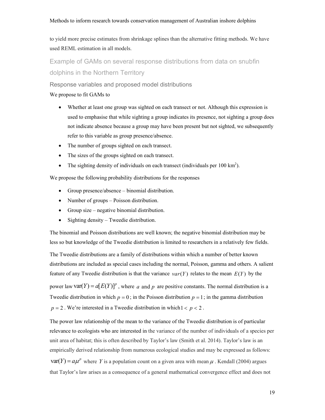to yield more precise estimates from shrinkage splines than the alternative fitting methods. We have used REML estimation in all models.

<span id="page-19-0"></span>Example of GAMs on several response distributions from data on snubfin dolphins in the Northern Territory

<span id="page-19-1"></span>Response variables and proposed model distributions

#### We propose to fit GAMs to

- Whether at least one group was sighted on each transect or not. Although this expression is used to emphasise that while sighting a group indicates its presence, not sighting a group does not indicate absence because a group may have been present but not sighted, we subsequently refer to this variable as group presence/absence.
- The number of groups sighted on each transect.
- The sizes of the groups sighted on each transect.
- The sighting density of individuals on each transect (individuals per 100 km<sup>2</sup>).

We propose the following probability distributions for the responses

- Group presence/absence binomial distribution.
- Number of groups Poisson distribution.
- Group size negative binomial distribution.
- $\bullet$  Sighting density Tweedie distribution.

The binomial and Poisson distributions are well known; the negative binomial distribution may be less so but knowledge of the Tweedie distribution is limited to researchers in a relatively few fields.

The Tweedie distributions are a family of distributions within which a number of better known distributions are included as special cases including the normal, Poisson, gamma and others. A salient feature of any Tweedie distribution is that the variance  $var(Y)$  relates to the mean  $E(Y)$  by the power law var $(Y) = a(E(Y))^p$ , where *a* and *p* are positive constants. The normal distribution is a Tweedie distribution in which  $p = 0$ ; in the Poisson distribution  $p = 1$ ; in the gamma distribution  $p = 2$ . We're interested in a Tweedie distribution in which  $1 < p < 2$ .

The power law relationship of the mean to the variance of the Tweedie distribution is of particular relevance to ecologists who are interested in the variance of the number of individuals of a species per unit area of habitat; this is often described by Taylor's law (Smith et al. 2014). Taylor's law is an empirically derived relationship from numerous ecological studies and may be expressed as follows:  $\text{var}(Y) = a\mu^p$  where Y is a population count on a given area with mean  $\mu$ . Kendall (2004) argues that Taylor's law arises as a consequence of a general mathematical convergence effect and does not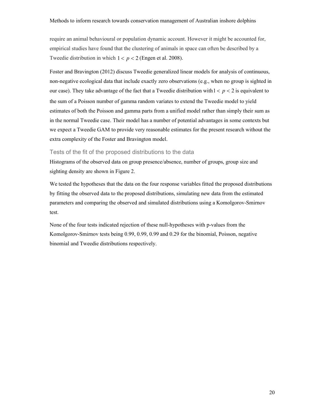require an animal behavioural or population dynamic account. However it might be accounted for, empirical studies have found that the clustering of animals in space can often be described by a Tweedie distribution in which  $1 < p < 2$  (Engen et al. 2008).

Foster and Bravington (2012) discuss Tweedie generalized linear models for analysis of continuous, non-negative ecological data that include exactly zero observations (e.g., when no group is sighted in our case). They take advantage of the fact that a Tweedie distribution with  $1 < p < 2$  is equivalent to the sum of a Poisson number of gamma random variates to extend the Tweedie model to yield estimates of both the Poisson and gamma parts from a unified model rather than simply their sum as in the normal Tweedie case. Their model has a number of potential advantages in some contexts but we expect a Tweedie GAM to provide very reasonable estimates for the present research without the extra complexity of the Foster and Bravington model.

Tests of the fit of the proposed distributions to the data

<span id="page-20-0"></span>Histograms of the observed data on group presence/absence, number of groups, group size and sighting density are shown in Figure 2.

We tested the hypotheses that the data on the four response variables fitted the proposed distributions by fitting the observed data to the proposed distributions, simulating new data from the estimated parameters and comparing the observed and simulated distributions using a Komolgorov-Smirnov test.

None of the four tests indicated rejection of these null-hypotheses with p-values from the Komolgorov-Smirnov tests being 0.99, 0.99, 0.99 and 0.29 for the binomial, Poisson, negative binomial and Tweedie distributions respectively.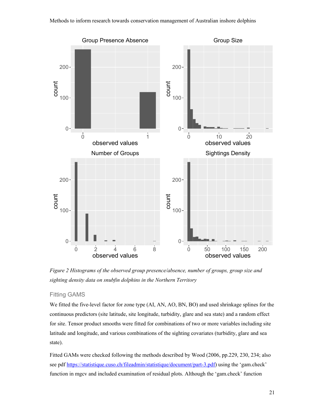

*Figure 2 Histograms of the observed group presence/absence, number of groups, group size and sighting density data on snubfin dolphins in the Northern Territory*

#### <span id="page-21-1"></span>Fitting GAMS

<span id="page-21-0"></span>We fitted the five-level factor for zone type (AI, AN, AO, BN, BO) and used shrinkage splines for the continuous predictors (site latitude, site longitude, turbidity, glare and sea state) and a random effect for site. Tensor product smooths were fitted for combinations of two or more variables including site latitude and longitude, and various combinations of the sighting covariates (turbidity, glare and sea state).

Fitted GAMs were checked following the methods described by Wood (2006, pp.229, 230, 234; also see pdf https://statistique.cuso.ch/fileadmin/statistique/document/part-3.pdf) using the 'gam.check' function in mgcv and included examination of residual plots. Although the 'gam.check' function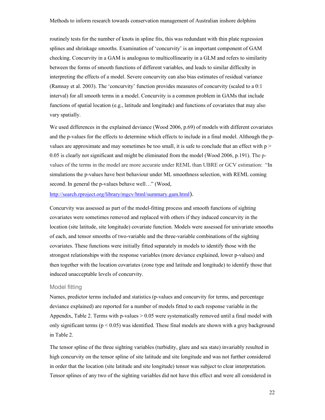routinely tests for the number of knots in spline fits, this was redundant with thin plate regression splines and shrinkage smooths. Examination of 'concurvity' is an important component of GAM checking. Concurvity in a GAM is analogous to multicollinearity in a GLM and refers to similarity between the forms of smooth functions of different variables, and leads to similar difficulty in interpreting the effects of a model. Severe concurvity can also bias estimates of residual variance (Ramsay et al. 2003). The 'concurvity' function provides measures of concurvity (scaled to a 0:1 interval) for all smooth terms in a model. Concurvity is a common problem in GAMs that include functions of spatial location (e.g., latitude and longitude) and functions of covariates that may also vary spatially.

We used differences in the explained deviance (Wood 2006, p.69) of models with different covariates and the p-values for the effects to determine which effects to include in a final model. Although the pvalues are approximate and may sometimes be too small, it is safe to conclude that an effect with  $p$ 0.05 is clearly not significant and might be eliminated from the model (Wood 2006, p.191). The pvalues of the terms in the model are more accurate under REML than UBRE or GCV estimation: "In simulations the p-values have best behaviour under ML smoothness selection, with REML coming second. In general the p-values behave well..." (Wood,

#### http://search.rproject.org/library/mgcv/html/summary.gam.html).

[Concurvity was assessed as part of the model-fitting process a](http://search.rproject.org/library/mgcv/html/summary.gam.html)nd smooth functions of sighting covariates were sometimes removed and replaced with others if they induced concurvity in the location (site latitude, site longitude) covariate function. Models were assessed for univariate smooths of each, and tensor smooths of two-variable and the three-variable combinations of the sighting covariates. These functions were initially fitted separately in models to identify those with the strongest relationships with the response variables (more deviance explained, lower p-values) and then together with the location covariates (zone type and latitude and longitude) to identify those that induced unacceptable levels of concurvity.

#### Model fitting

<span id="page-22-0"></span>Names, predictor terms included and statistics (p-values and concurvity for terms, and percentage deviance explained) are reported for a number of models fitted to each response variable in the Appendix, Table 2. Terms with p-values  $> 0.05$  were systematically removed until a final model with only significant terms ( $p < 0.05$ ) was identified. These final models are shown with a grey background in Table 2.

The tensor spline of the three sighting variables (turbidity, glare and sea state) invariably resulted in high concurvity on the tensor spline of site latitude and site longitude and was not further considered in order that the location (site latitude and site longitude) tensor was subject to clear interpretation. Tensor splines of any two of the sighting variables did not have this effect and were all considered in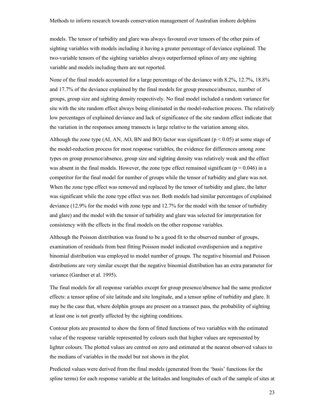models. The tensor of turbidity and glare was always favoured over tensors of the other pairs of sighting variables with models including it having a greater percentage of deviance explained. The two-variable tensors of the sighting variables always outperformed splines of any one sighting variable and models including them are not reported.

None of the final models accounted for a large percentage of the deviance with 8.2%, 12.7%, 18.8% and 17.7% of the deviance explained by the final models for group presence/absence, number of groups, group size and sighting density respectively. No final model included a random variance for site with the site random effect always being eliminated in the model-reduction process. The relatively low percentages of explained deviance and lack of significance of the site random effect indicate that the variation in the responses among transects is large relative to the variation among sites.

Although the zone type (AI, AN, AO, BN and BO) factor was significant ( $p < 0.05$ ) at some stage of the model-reduction process for most response variables, the evidence for differences among zone types on group presence/absence, group size and sighting density was relatively weak and the effect was absent in the final models. However, the zone type effect remained significant ( $p = 0.046$ ) in a competitor for the final model for number of groups while the tensor of turbidity and glare was not. When the zone type effect was removed and replaced by the tensor of turbidity and glare, the latter was significant while the zone type effect was not. Both models had similar percentages of explained deviance (12.9% for the model with zone type and 12.7% for the model with the tensor of turbidity and glare) and the model with the tensor of turbidity and glare was selected for interpretation for consistency with the effects in the final models on the other response variables.

Although the Poisson distribution was found to be a good fit to the observed number of groups, examination of residuals from best fitting Poisson model indicated overdispersion and a negative binomial distribution was employed to model number of groups. The negative binomial and Poisson distributions are very similar except that the negative binomial distribution has an extra parameter for variance (Gardner et al. 1995).

The final models for all response variables except for group presence/absence had the same predictor effects: a tensor spline of site latitude and site longitude, and a tensor spline of turbidity and glare. It may be the case that, where dolphin groups are present on a transect pass, the probability of sighting at least one is not greatly affected by the sighting conditions.

Contour plots are presented to show the form of fitted functions of two variables with the estimated value of the response variable represented by colours such that higher values are represented by lighter colours. The plotted values are centred on zero and estimated at the nearest observed values to the medians of variables in the model but not shown in the plot.

Predicted values were derived from the final models (generated from the 'basis' functions for the spline terms) for each response variable at the latitudes and longitudes of each of the sample of sites at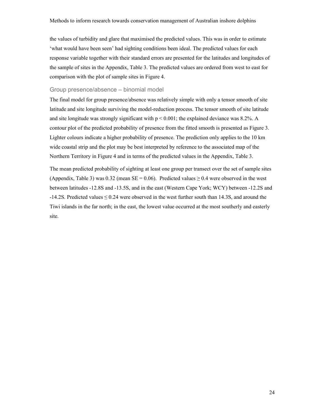the values of turbidity and glare that maximised the predicted values. This was in order to estimate 'what would have been seen' had sighting conditions been ideal. The predicted values for each response variable together with their standard errors are presented for the latitudes and longitudes of the sample of sites in the Appendix, Table 3. The predicted values are ordered from west to east for comparison with the plot of sample sites in Figure 4.

#### <span id="page-24-0"></span>Group presence/absence – binomial model

The final model for group presence/absence was relatively simple with only a tensor smooth of site latitude and site longitude surviving the model-reduction process. The tensor smooth of site latitude and site longitude was strongly significant with  $p \le 0.001$ ; the explained deviance was 8.2%. A contour plot of the predicted probability of presence from the fitted smooth is presented as Figure 3. Lighter colours indicate a higher probability of presence. The prediction only applies to the 10 km wide coastal strip and the plot may be best interpreted by reference to the associated map of the Northern Territory in Figure 4 and in terms of the predicted values in the Appendix, Table 3.

The mean predicted probability of sighting at least one group per transect over the set of sample sites (Appendix, Table 3) was 0.32 (mean SE = 0.06). Predicted values  $\geq$  0.4 were observed in the west between latitudes -12.8S and -13.5S, and in the east (Western Cape York; WCY) between -12.2S and -14.2S. Predicted values ≤ 0.24 were observed in the west further south than 14.3S, and around the Tiwi islands in the far north; in the east, the lowest value occurred at the most southerly and easterly site.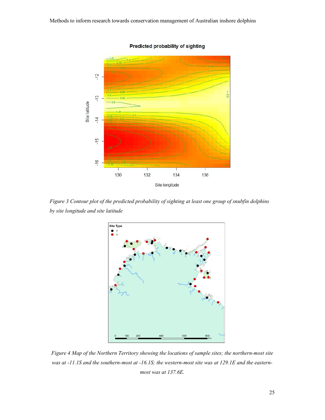

Predicted probability of sighting

<span id="page-25-0"></span>*Figure 3 Contour plot of the predicted probability of sighting at least one group of snubfin dolphins by site longitude and site latitude*



<span id="page-25-1"></span>*Figure 4 Map of the Northern Territory showing the locations of sample sites; the northern-most site was at -11.1S and the southern-most at -16.1S; the western-most site was at 129.1E and the easternmost was at 137.6E.*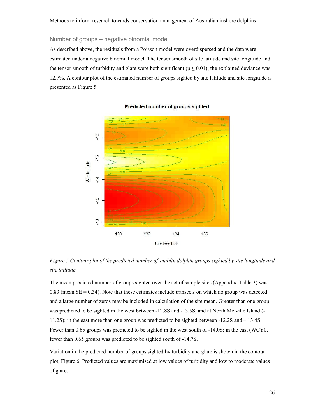#### <span id="page-26-0"></span>Number of groups – negative binomial model

As described above, the residuals from a Poisson model were overdispersed and the data were estimated under a negative binomial model. The tensor smooth of site latitude and site longitude and the tensor smooth of turbidity and glare were both significant ( $p \le 0.01$ ); the explained deviance was 12.7%. A contour plot of the estimated number of groups sighted by site latitude and site longitude is presented as Figure 5.



#### Predicted number of groups sighted

*Figure 5 Contour plot of the predicted number of snubfin dolphin groups sighted by site longitude and site latitude*

<span id="page-26-1"></span>The mean predicted number of groups sighted over the set of sample sites (Appendix, Table 3) was  $0.83$  (mean SE =  $0.34$ ). Note that these estimates include transects on which no group was detected and a large number of zeros may be included in calculation of the site mean. Greater than one group was predicted to be sighted in the west between -12.8S and -13.5S, and at North Melville Island (- 11.2S); in the east more than one group was predicted to be sighted between -12.2S and – 13.4S. Fewer than 0.65 groups was predicted to be sighted in the west south of -14.0S; in the east (WCY0, fewer than 0.65 groups was predicted to be sighted south of -14.7S.

Variation in the predicted number of groups sighted by turbidity and glare is shown in the contour plot, Figure 6. Predicted values are maximised at low values of turbidity and low to moderate values of glare.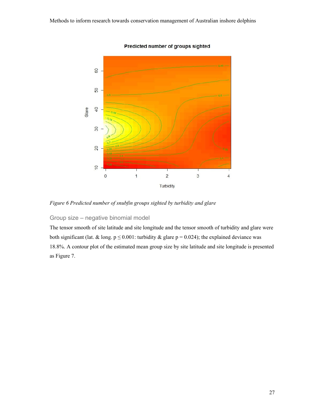

Predicted number of groups sighted

*Figure 6 Predicted number of snubfin groups sighted by turbidity and glare*

### <span id="page-27-1"></span>Group size – negative binomial model

<span id="page-27-0"></span>The tensor smooth of site latitude and site longitude and the tensor smooth of turbidity and glare were both significant (lat. & long.  $p \le 0.001$ : turbidity & glare  $p = 0.024$ ); the explained deviance was 18.8%. A contour plot of the estimated mean group size by site latitude and site longitude is presented as Figure 7.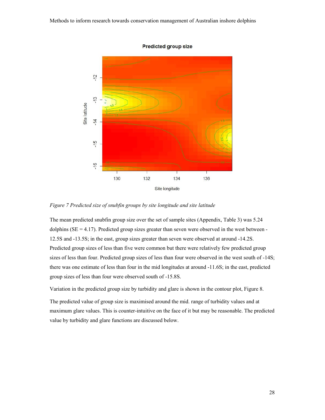

**Predicted group size** 

*Figure 7 Predicted size of snubfin groups by site longitude and site latitude*

<span id="page-28-0"></span>The mean predicted snubfin group size over the set of sample sites (Appendix, Table 3) was 5.24 dolphins ( $SE = 4.17$ ). Predicted group sizes greater than seven were observed in the west between -12.5S and -13.5S; in the east, group sizes greater than seven were observed at around -14.2S. Predicted group sizes of less than five were common but there were relatively few predicted group sizes of less than four. Predicted group sizes of less than four were observed in the west south of -14S; there was one estimate of less than four in the mid longitudes at around -11.6S; in the east, predicted group sizes of less than four were observed south of -15.8S.

Variation in the predicted group size by turbidity and glare is shown in the contour plot, Figure 8.

The predicted value of group size is maximised around the mid. range of turbidity values and at maximum glare values. This is counter-intuitive on the face of it but may be reasonable. The predicted value by turbidity and glare functions are discussed below.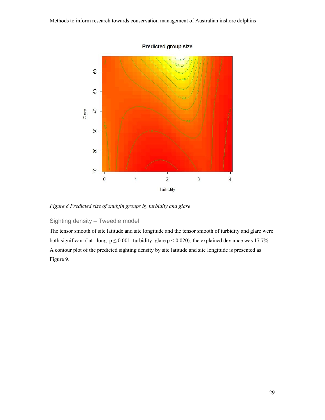

**Predicted group size** 

*Figure 8 Predicted size of snubfin groups by turbidity and glare*

### <span id="page-29-1"></span>Sighting density – Tweedie model

<span id="page-29-0"></span>The tensor smooth of site latitude and site longitude and the tensor smooth of turbidity and glare were both significant (lat., long.  $p \le 0.001$ : turbidity, glare  $p < 0.020$ ); the explained deviance was 17.7%. A contour plot of the predicted sighting density by site latitude and site longitude is presented as Figure 9.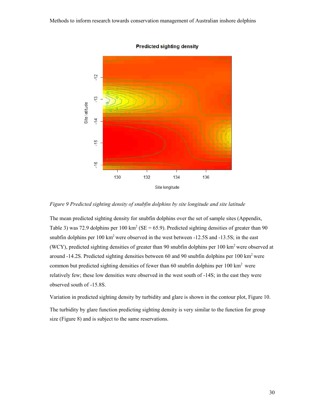

**Predicted sighting density** 

*Figure 9 Predicted sighting density of snubfin dolphins by site longitude and site latitude*

<span id="page-30-0"></span>The mean predicted sighting density for snubfin dolphins over the set of sample sites (Appendix, Table 3) was 72.9 dolphins per 100 km<sup>2</sup> (SE = 65.9). Predicted sighting densities of greater than 90 snubfin dolphins per  $100 \text{ km}^2$  were observed in the west between  $-12.5S$  and  $-13.5S$ ; in the east (WCY), predicted sighting densities of greater than 90 snubfin dolphins per 100 km<sup>2</sup> were observed at around -14.2S. Predicted sighting densities between 60 and 90 snubfin dolphins per 100 km<sup>2</sup> were common but predicted sighting densities of fewer than 60 snubfin dolphins per  $100 \text{ km}^2$  were relatively few; these low densities were observed in the west south of -14S; in the east they were observed south of -15.8S.

Variation in predicted sighting density by turbidity and glare is shown in the contour plot, Figure 10. The turbidity by glare function predicting sighting density is very similar to the function for group size (Figure 8) and is subject to the same reservations.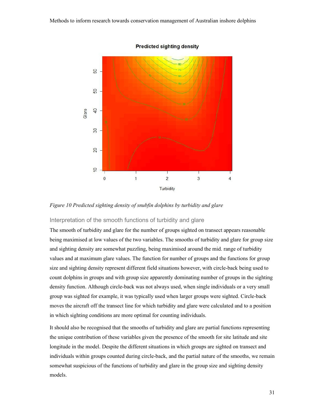

**Predicted sighting density** 

*Figure 10 Predicted sighting density of snubfin dolphins by turbidity and glare*

#### <span id="page-31-0"></span>Interpretation of the smooth functions of turbidity and glare

The smooth of turbidity and glare for the number of groups sighted on transect appears reasonable being maximised at low values of the two variables. The smooths of turbidity and glare for group size and sighting density are somewhat puzzling, being maximised around the mid. range of turbidity values and at maximum glare values. The function for number of groups and the functions for group size and sighting density represent different field situations however, with circle-back being used to count dolphins in groups and with group size apparently dominating number of groups in the sighting density function. Although circle-back was not always used, when single individuals or a very small group was sighted for example, it was typically used when larger groups were sighted. Circle-back moves the aircraft off the transect line for which turbidity and glare were calculated and to a position in which sighting conditions are more optimal for counting individuals.

It should also be recognised that the smooths of turbidity and glare are partial functions representing the unique contribution of these variables given the presence of the smooth for site latitude and site longitude in the model. Despite the different situations in which groups are sighted on transect and individuals within groups counted during circle-back, and the partial nature of the smooths, we remain somewhat suspicious of the functions of turbidity and glare in the group size and sighting density models.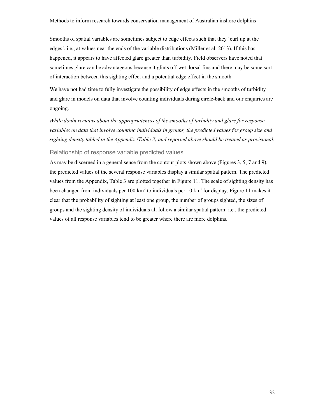Smooths of spatial variables are sometimes subject to edge effects such that they 'curl up at the edges', i.e., at values near the ends of the variable distributions (Miller et al. 2013). If this has happened, it appears to have affected glare greater than turbidity. Field observers have noted that sometimes glare can be advantageous because it glints off wet dorsal fins and there may be some sort of interaction between this sighting effect and a potential edge effect in the smooth.

We have not had time to fully investigate the possibility of edge effects in the smooths of turbidity and glare in models on data that involve counting individuals during circle-back and our enquiries are ongoing.

*While doubt remains about the appropriateness of the smooths of turbidity and glare for response variables on data that involve counting individuals in groups, the predicted values for group size and sighting density tabled in the Appendix (Table 3) and reported above should be treated as provisional.* 

#### Relationship of response variable predicted values

<span id="page-32-0"></span>As may be discerned in a general sense from the contour plots shown above (Figures 3, 5, 7 and 9), the predicted values of the several response variables display a similar spatial pattern. The predicted values from the Appendix, Table 3 are plotted together in Figure 11. The scale of sighting density has been changed from individuals per  $100 \text{ km}^2$  to individuals per  $10 \text{ km}^2$  for display. Figure 11 makes it clear that the probability of sighting at least one group, the number of groups sighted, the sizes of groups and the sighting density of individuals all follow a similar spatial pattern: i.e., the predicted values of all response variables tend to be greater where there are more dolphins.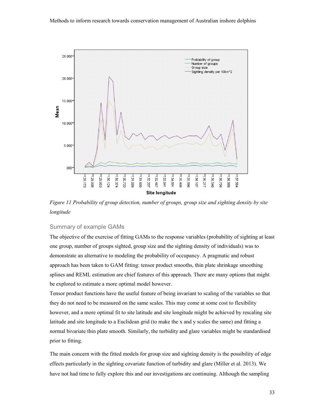

<span id="page-33-1"></span>*Figure 11 Probability of group detection, number of groups, group size and sighting density by site longitude*

#### Summary of example GAMs

<span id="page-33-0"></span>The objective of the exercise of fitting GAMs to the response variables (probability of sighting at least one group, number of groups sighted, group size and the sighting density of individuals) was to demonstrate an alternative to modeling the probability of occupancy. A pragmatic and robust approach has been taken to GAM fitting: tensor product smooths, thin plate shrinkage smoothing splines and REML estimation are chief features of this approach. There are many options that might be explored to estimate a more optimal model however.

Tensor product functions have the useful feature of being invariant to scaling of the variables so that they do not need to be measured on the same scales. This may come at some cost to flexibility however, and a more optimal fit to site latitude and site longitude might be achieved by rescaling site latitude and site longitude to a Euclidean grid (to make the x and y scales the same) and fitting a normal bivariate thin plate smooth. Similarly, the turbidity and glare variables might be standardised prior to fitting.

The main concern with the fitted models for group size and sighting density is the possibility of edge effects particularly in the sighting covariate function of turbidity and glare (Miller et al. 2013). We have not had time to fully explore this and our investigations are continuing. Although the sampling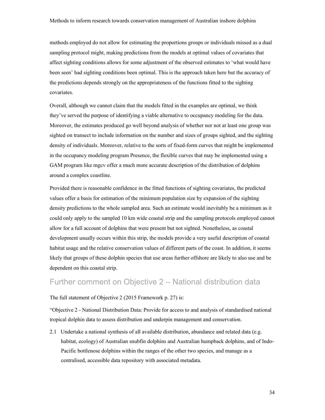methods employed do not allow for estimating the proportions groups or individuals missed as a dual sampling protocol might, making predictions from the models at optimal values of covariates that affect sighting conditions allows for some adjustment of the observed estimates to 'what would have been seen' had sighting conditions been optimal. This is the approach taken here but the accuracy of the predictions depends strongly on the appropriateness of the functions fitted to the sighting covariates.

Overall, although we cannot claim that the models fitted in the examples are optimal, we think they've served the purpose of identifying a viable alternative to occupancy modeling for the data. Moreover, the estimates produced go well beyond analysis of whether nor not at least one group was sighted on transect to include information on the number and sizes of groups sighted, and the sighting density of individuals. Moreover, relative to the sorts of fixed-form curves that might be implemented in the occupancy modeling program Presence, the flexible curves that may be implemented using a GAM program like mgcv offer a much more accurate description of the distribution of dolphins around a complex coastline.

Provided there is reasonable confidence in the fitted functions of sighting covariates, the predicted values offer a basis for estimation of the minimum population size by expansion of the sighting density predictions to the whole sampled area. Such an estimate would inevitably be a minimum as it could only apply to the sampled 10 km wide coastal strip and the sampling protocols employed cannot allow for a full account of dolphins that were present but not sighted. Nonetheless, as coastal development usually occurs within this strip, the models provide a very useful description of coastal habitat usage and the relative conservation values of different parts of the coast. In addition, it seems likely that groups of these dolphin species that use areas further offshore are likely to also use and be dependent on this coastal strip.

# Further comment on Objective 2 – National distribution data

#### <span id="page-34-0"></span>The full statement of Objective 2 (2015 Framework p. 27) is:

"Objective 2 - National Distribution Data: Provide for access to and analysis of standardised national tropical dolphin data to assess distribution and underpin management and conservation.

2.1 Undertake a national synthesis of all available distribution, abundance and related data (e.g. habitat, ecology) of Australian snubfin dolphins and Australian humpback dolphins, and of Indo-Pacific bottlenose dolphins within the ranges of the other two species, and manage as a centralised, accessible data repository with associated metadata.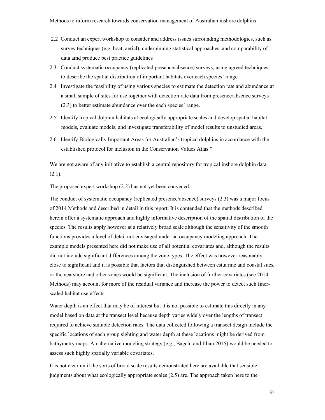- 2.2 Conduct an expert workshop to consider and address issues surrounding methodologies, such as survey techniques (e.g. boat, aerial), underpinning statistical approaches, and comparability of data amd produce best practice guidelines
- 2.3 Conduct systematic occupancy (replicated presence/absence) surveys, using agreed techniques, to describe the spatial distribution of important habitats over each species' range.
- 2.4 Investigate the feasibility of using various species to estimate the detection rate and abundance at a small sample of sites for use together with detection rate data from presence/absence surveys (2.3) to better estimate abundance over the each species' range.
- 2.5 Identify tropical dolphin habitats at ecologically appropriate scales and develop spatial habitat models, evaluate models, and investigate transferability of model results to unstudied areas.
- 2.6 Identify Biologically Important Areas for Australian's tropical dolphins in accordance with the established protocol for inclusion in the Conservation Values Atlas."

We are not aware of any initiative to establish a central repository for tropical inshore dolphin data  $(2.1).$ 

The proposed expert workshop (2.2) has not yet been convened.

The conduct of systematic occupancy (replicated presence/absence) surveys (2.3) was a major focus of 2014 Methods and described in detail in this report. It is contended that the methods described herein offer a systematic approach and highly informative description of the spatial distribution of the species. The results apply however at a relatively broad scale although the sensitivity of the smooth functions provides a level of detail not envisaged under an occupancy modeling approach. The example models presented here did not make use of all potential covariates and, although the results did not include significant differences among the zone types. The effect was however reasonably close to significant and it is possible that factors that distinguished between estuarine and coastal sites, or the nearshore and other zones would be significant. The inclusion of further covariates (see 2014 Methods) may account for more of the residual variance and increase the power to detect such finerscaled habitat use effects.

Water depth is an effect that may be of interest but it is not possible to estimate this directly in any model based on data at the transect level because depth varies widely over the lengths of transect required to achieve suitable detection rates. The data collected following a transect design include the specific locations of each group sighting and water depth at these locations might be derived from bathymetry maps. An alternative modeling strategy (e.g., Bagchi and Illian 2015) would be needed to assess such highly spatially variable covariates.

It is not clear until the sorts of broad scale results demonstrated here are available that sensible judgments about what ecologically appropriate scales (2.5) are. The approach taken here to the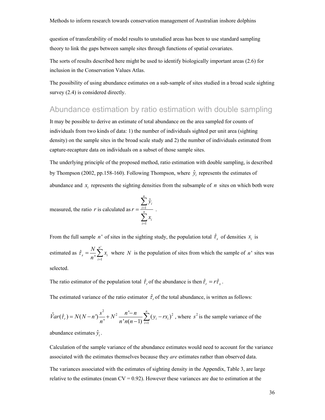question of transferability of model results to unstudied areas has been to use standard sampling theory to link the gaps between sample sites through functions of spatial covariates.

The sorts of results described here might be used to identify biologically important areas (2.6) for inclusion in the Conservation Values Atlas.

The possibility of using abundance estimates on a sub-sample of sites studied in a broad scale sighting survey  $(2.4)$  is considered directly.

# <span id="page-36-0"></span>Abundance estimation by ratio estimation with double sampling

It may be possible to derive an estimate of total abundance on the area sampled for counts of individuals from two kinds of data: 1) the number of individuals sighted per unit area (sighting density) on the sample sites in the broad scale study and 2) the number of individuals estimated from capture-recapture data on individuals on a subset of those sample sites.

The underlying principle of the proposed method, ratio estimation with double sampling, is described by Thompson (2002, pp.158-160). Following Thompson, where  $\hat{y}$  represents the estimates of abundance and  $x_i$  represents the sighting densities from the subsample of  $n$  sites on which both were

measured, the ratio *r* is calculated as 
$$
r = \frac{\sum_{i=1}^{n} \hat{y}_i}{\sum_{i=1}^{n} x_i}
$$

From the full sample *n*<sup> $\cdot$ </sup> of sites in the sighting study, the population total  $\hat{\tau}_x$  of densities  $x_i$  is

.

estimated as '  $\hat{\tau}_{x} = \frac{N}{n} \sum_{i=1}^{n}$  $\sum_{i=1}^n$ <sup>*n*</sup>  $\sum_{i=1}^n$ <sup>*x*<sub>i</sub></sup>  $\frac{N}{\cdot} \sum_{i=1}^{n} x_i$  $\tau_x = \frac{1}{n}$  $=\frac{N}{n'}\sum_{i=1}^{N}x_i$  where *N* is the population of sites from which the sample of *n*<sup>1</sup> sites was selected.

The ratio estimator of the population total  $\hat{\tau}_r$  of the abundance is then  $\hat{\tau}_r = r\hat{\tau}_x$ .

The estimated variance of the ratio estimator  $\hat{\tau}_r$  of the total abundance, is written as follows:

$$
\hat{V}ar(\hat{\tau}_r) = N(N-n')\frac{s^2}{n'} + N^2 \frac{n'-n}{n'n(n-1)}\sum_{i=1}^n (y_i - rx_i)^2
$$
, where  $s^2$  is the sample variance of the

abundance estimates  $\hat{y}_i$ .

Calculation of the sample variance of the abundance estimates would need to account for the variance associated with the estimates themselves because they *are* estimates rather than observed data.

The variances associated with the estimates of sighting density in the Appendix, Table 3, are large relative to the estimates (mean  $CV = 0.92$ ). However these variances are due to estimation at the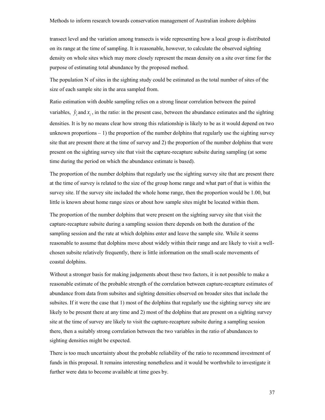transect level and the variation among transects is wide representing how a local group is distributed on its range at the time of sampling. It is reasonable, however, to calculate the observed sighting density on whole sites which may more closely represent the mean density on a site over time for the purpose of estimating total abundance by the proposed method.

The population N of sites in the sighting study could be estimated as the total number of sites of the size of each sample site in the area sampled from.

Ratio estimation with double sampling relies on a strong linear correlation between the paired variables,  $\hat{y}_i$  and  $x_i$ , in the ratio: in the present case, between the abundance estimates and the sighting densities. It is by no means clear how strong this relationship is likely to be as it would depend on two unknown proportions  $-1$ ) the proportion of the number dolphins that regularly use the sighting survey site that are present there at the time of survey and 2) the proportion of the number dolphins that were present on the sighting survey site that visit the capture-recapture subsite during sampling (at some time during the period on which the abundance estimate is based).

The proportion of the number dolphins that regularly use the sighting survey site that are present there at the time of survey is related to the size of the group home range and what part of that is within the survey site. If the survey site included the whole home range, then the proportion would be 1.00, but little is known about home range sizes or about how sample sites might be located within them.

The proportion of the number dolphins that were present on the sighting survey site that visit the capture-recapture subsite during a sampling session there depends on both the duration of the sampling session and the rate at which dolphins enter and leave the sample site. While it seems reasonable to assume that dolphins move about widely within their range and are likely to visit a wellchosen subsite relatively frequently, there is little information on the small-scale movements of coastal dolphins.

Without a stronger basis for making judgements about these two factors, it is not possible to make a reasonable estimate of the probable strength of the correlation between capture-recapture estimates of abundance from data from subsites and sighting densities observed on broader sites that include the subsites. If it were the case that 1) most of the dolphins that regularly use the sighting survey site are likely to be present there at any time and 2) most of the dolphins that are present on a sighting survey site at the time of survey are likely to visit the capture-recapture subsite during a sampling session there, then a suitably strong correlation between the two variables in the ratio of abundances to sighting densities might be expected.

There is too much uncertainty about the probable reliability of the ratio to recommend investment of funds in this proposal. It remains interesting nonetheless and it would be worthwhile to investigate it further were data to become available at time goes by.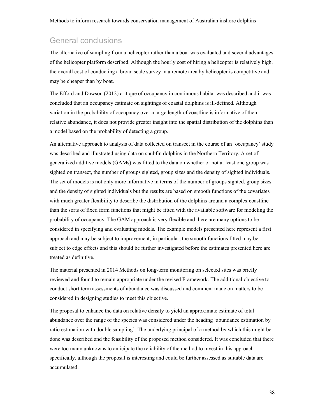### <span id="page-38-0"></span>General conclusions

The alternative of sampling from a helicopter rather than a boat was evaluated and several advantages of the helicopter platform described. Although the hourly cost of hiring a helicopter is relatively high, the overall cost of conducting a broad scale survey in a remote area by helicopter is competitive and may be cheaper than by boat.

The Efford and Dawson (2012) critique of occupancy in continuous habitat was described and it was concluded that an occupancy estimate on sightings of coastal dolphins is ill-defined. Although variation in the probability of occupancy over a large length of coastline is informative of their relative abundance, it does not provide greater insight into the spatial distribution of the dolphins than a model based on the probability of detecting a group.

An alternative approach to analysis of data collected on transect in the course of an 'occupancy' study was described and illustrated using data on snubfin dolphins in the Northern Territory. A set of generalized additive models (GAMs) was fitted to the data on whether or not at least one group was sighted on transect, the number of groups sighted, group sizes and the density of sighted individuals. The set of models is not only more informative in terms of the number of groups sighted, group sizes and the density of sighted individuals but the results are based on smooth functions of the covariates with much greater flexibility to describe the distribution of the dolphins around a complex coastline than the sorts of fixed form functions that might be fitted with the available software for modeling the probability of occupancy. The GAM approach is very flexible and there are many options to be considered in specifying and evaluating models. The example models presented here represent a first approach and may be subject to improvement; in particular, the smooth functions fitted may be subject to edge effects and this should be further investigated before the estimates presented here are treated as definitive.

The material presented in 2014 Methods on long-term monitoring on selected sites was briefly reviewed and found to remain appropriate under the revised Framework. The additional objective to conduct short term assessments of abundance was discussed and comment made on matters to be considered in designing studies to meet this objective.

The proposal to enhance the data on relative density to yield an approximate estimate of total abundance over the range of the species was considered under the heading 'abundance estimation by ratio estimation with double sampling'. The underlying principal of a method by which this might be done was described and the feasibility of the proposed method considered. It was concluded that there were too many unknowns to anticipate the reliability of the method to invest in this approach specifically, although the proposal is interesting and could be further assessed as suitable data are accumulated.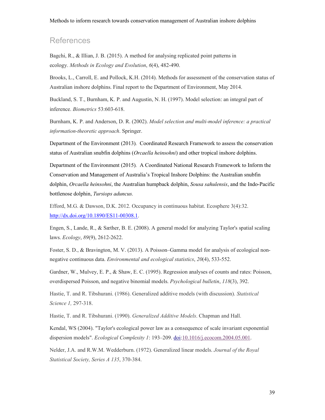# <span id="page-39-0"></span>**References**

Bagchi, R., & Illian, J. B. (2015). A method for analysing replicated point patterns in ecology. *Methods in Ecology and Evolution*, *6*(4), 482-490.

Brooks, L., Carroll, E. and Pollock, K.H. (2014). Methods for assessment of the conservation status of Australian inshore dolphins. Final report to the Department of Environment, May 2014.

Buckland, S. T., Burnham, K. P. and Augustin, N. H. (1997). Model selection: an integral part of inference. *Biometrics* 53:603-618.

Burnham, K. P. and Anderson, D. R. (2002). *Model selection and multi-model inference: a practical information-theoretic approach*. Springer.

Department of the Environment (2013)*.* Coordinated Research Framework to assess the conservation status of Australian snubfin dolphins (*Orcaella heinsohni*) and other tropical inshore dolphins.

Department of the Environment (2015)*.* A Coordinated National Research Framework to Inform the Conservation and Management of Australia's Tropical Inshore Dolphins: the Australian snubfin dolphin, *Orcaella heinsohni*, the Australian humpback dolphin, *Sousa sahulensis*, and the Indo-Pacific bottlenose dolphin, *Tursiops aduncus.*

Efford, M.G. & Dawson, D.K. 2012. Occupancy in continuous habitat. Ecosphere 3(4):32. http://dx.doi.org/10.1890/ES11-00308.1.

[Engen, S., Lande, R., & Sæther, B. E](http://dx.doi.org/10.1890/ES11-00308.1). (2008). A general model for analyzing Taylor's spatial scaling laws. *Ecology*, *89*(9), 2612-2622.

Foster, S. D., & Bravington, M. V. (2013). A Poisson–Gamma model for analysis of ecological nonnegative continuous data. *Environmental and ecological statistics*, *20*(4), 533-552.

Gardner, W., Mulvey, E. P., & Shaw, E. C. (1995). Regression analyses of counts and rates: Poisson, overdispersed Poisson, and negative binomial models. *Psychological bulletin*, *118*(3), 392.

Hastie, T. and R. Tibshurani. (1986). Generalized additive models (with discussion). *Statistical Science 1,* 297-318.

Hastie, T. and R. Tibshurani. (1990). *Generalized Additive Models*. Chapman and Hall.

Kendal, WS (2004). "Taylor's ecological power law as a consequence of scale invariant exponential dispersion models". *Ecological Complexity 1*: 193–209. doi:10.1016/j.ecocom.2004.05.001.

Nelder, J.A. and R.W.M. Wedderburn. (1972). Generalized linear models. *Journal of the Royal Statistical Society, Series A 135*, 370-384.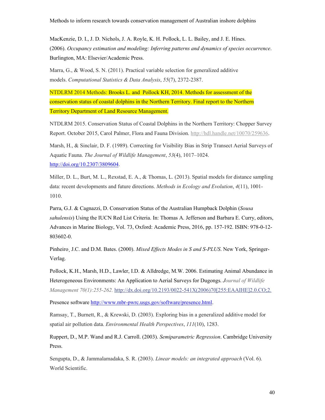MacKenzie, D. I., J. D. Nichols, J. A. Royle, K. H. Pollock, L. L. Bailey, and J. E. Hines. (2006). *Occupancy estimation and modeling: Inferring patterns and dynamics of species occurrence*. Burlington, MA: Elsevier/Academic Press.

Marra, G., & Wood, S. N. (2011). Practical variable selection for generalized additive models. *Computational Statistics & Data Analysis*, *55*(7), 2372-2387.

NTDLRM 2014 Methods: Brooks L. and Pollock KH, 2014. Methods for assessment of the conservation status of coastal dolphins in the Northern Territory. Final report to the Northern Territory Department of Land Resource Management.

NTDLRM 2015. Conservation Status of Coastal Dolphins in the Northern Territory: Chopper Survey Report. October 2015, Carol Palmer, Flora and Fauna Division. http://hdl.handle.net/10070/259636.

Marsh, H., & Sinclair, D. F. (1989). Correcting for Visibility B[ias in Strip Transect Aerial Surveys o](http://hdl.handle.net/10070/259636)f Aquatic Fauna. *The Journal of Wildlife Management*, *53*(4), 1017–1024. http://doi.org/10.2307/3809604.

[Miller, D. L., Burt, M. L., R](http://doi.org/10.2307/3809604)exstad, E. A., & Thomas, L. (2013). Spatial models for distance sampling data: recent developments and future directions. *Methods in Ecology and Evolution*, *4*(11), 1001- 1010.

Parra, G.J. & Cagnazzi, D. Conservation Status of the Australian Humpback Dolphin (*Sousa sahulensis*) Using the IUCN Red List Criteria. In: Thomas A. Jefferson and Barbara E. Curry, editors, Advances in Marine Biology, Vol. 73, Oxford: Academic Press, 2016, pp. 157-192. ISBN: 978-0-12- 803602-0.

Pinheiro¸ J.C. and D.M. Bates. (2000). *Mixed Effects Modes in S and S-PLUS*. New York, Springer-Verlag.

Pollock, K.H., Marsh, H.D., Lawler, I.D. & Alldredge, M.W. 2006. Estimating Animal Abundance in Heterogeneous Environments: An Application to Aerial Surveys for Dugongs. *Journal of Wildlife Management 70(1):255-262.* http://dx.doi.org/10.2193/0022-541X(2006)70[255:EAAIHE]2.0.CO;2.

Presence software http://www.mbr-pwrc.usgs.gov/software/presence.html.

Ramsay, T., Burnett, R., [& Krewski, D. \(2003\). Exploring bias in a generalized additive model for](http://dx.doi.org/10.2193/0022-541X(2006)70%5b255:EAAIHE%5d2.0.CO;2)  spatial air pollution data. *[Environmental Health Perspectives](http://www.mbr-pwrc.usgs.gov/software/presence.html)*, *111*(10), 1283.

Ruppert, D., M.P. Wand and R.J. Carroll. (2003). *Semiparametric Regression*. Cambridge University Press.

Sengupta, D., & Jammalamadaka, S. R. (2003). *Linear models: an integrated approach* (Vol. 6). World Scientific.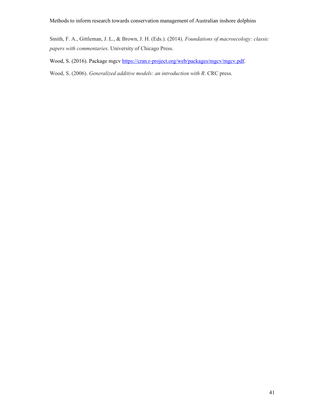Smith, F. A., Gittleman, J. L., & Brown, J. H. (Eds.). (2014). *Foundations of macroecology: classic papers with commentaries*. University of Chicago Press.

Wood, S. (2016). Package mgcv https://cran.r-project.org/web/packages/mgcv/mgcv.pdf.

Wood, S. (2006). *Generalized additive models: an introduction with R*. CRC press.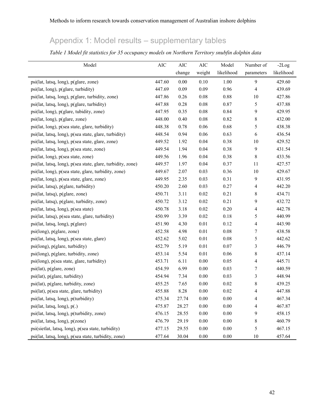# Appendix 1: Model results – supplementary tables

<span id="page-42-0"></span>

| Model                                                       | $\rm AIC$ | $\rm AIC$ | $\rm AIC$ | Model      | Number of        | $-2Log$    |
|-------------------------------------------------------------|-----------|-----------|-----------|------------|------------------|------------|
|                                                             |           | change    | weight    | likelihood | parameters       | likelihood |
| psi(lat, latsq, long), p(glare, zone)                       | 447.60    | 0.00      | 0.10      | 1.00       | 9                | 429.60     |
| psi(lat, long), p(glare, turbidity)                         | 447.69    | 0.09      | 0.09      | 0.96       | 4                | 439.69     |
| psi(lat, latsq, long), p(glare, turbidity, zone)            | 447.86    | 0.26      | 0.08      | 0.88       | 10               | 427.86     |
| psi(lat, latsq, long), p(glare, turbidity)                  | 447.88    | 0.28      | $0.08\,$  | 0.87       | 5                | 437.88     |
| psi(lat, long), p(glare, tubidity, zone)                    | 447.95    | 0.35      | 0.08      | 0.84       | 9                | 429.95     |
| psi(lat, long), p(glare, zone)                              | 448.00    | 0.40      | $0.08\,$  | 0.82       | 8                | 432.00     |
| psi(lat, long), p(sea state, glare, turbidity)              | 448.38    | 0.78      | 0.06      | 0.68       | 5                | 438.38     |
| psi(lat, latsq, long), p(sea state, glare, turbidity)       | 448.54    | 0.94      | 0.06      | 0.63       | 6                | 436.54     |
| psi(lat, latsq, long), p(sea state, glare, zone)            | 449.52    | 1.92      | 0.04      | 0.38       | 10               | 429.52     |
| psi(lat, latsq, long), p(sea state, zone)                   | 449.54    | 1.94      | 0.04      | 0.38       | 9                | 431.54     |
| psi(lat, long), p(sea state, zone)                          | 449.56    | 1.96      | 0.04      | 0.38       | 8                | 433.56     |
| psi(lat, latsq, long), p(sea state, glare, turbidity, zone) | 449.57    | 1.97      | 0.04      | 0.37       | 11               | 427.57     |
| psi(lat, long), p(sea state, glare, turbidity, zone)        | 449.67    | 2.07      | 0.03      | 0.36       | 10               | 429.67     |
| psi(lat, long), p(sea state, glare, zone)                   | 449.95    | 2.35      | 0.03      | 0.31       | 9                | 431.95     |
| psi(lat, latsq), p(glare, turbidity)                        | 450.20    | 2.60      | 0.03      | 0.27       | 4                | 442.20     |
| psi(lat, latsq), p(glare, zone)                             | 450.71    | 3.11      | 0.02      | 0.21       | 8                | 434.71     |
| psi(lat, latsq), p(glare, turbidity, zone)                  | 450.72    | 3.12      | 0.02      | 0.21       | 9                | 432.72     |
| psi(lat, latsq, long), p(sea state)                         | 450.78    | 3.18      | 0.02      | 0.20       | 4                | 442.78     |
| psi(lat, latsq), p(sea state, glare, turbidity)             | 450.99    | 3.39      | 0.02      | 0.18       | 5                | 440.99     |
| psi(lat, latsq, long), p(glare)                             | 451.90    | 4.30      | 0.01      | 0.12       | 4                | 443.90     |
| psi(long), p(glare, zone)                                   | 452.58    | 4.98      | 0.01      | 0.08       | 7                | 438.58     |
| psi(lat, latsq, long), p(sea state, glare)                  | 452.62    | 5.02      | 0.01      | 0.08       | 5                | 442.62     |
| psi(long), p(glare, turbidity)                              | 452.79    | 5.19      | 0.01      | 0.07       | 3                | 446.79     |
| psi(long), p(glare, turbidity, zone)                        | 453.14    | 5.54      | 0.01      | 0.06       | 8                | 437.14     |
| psi(long), p(sea state, glare, turbidity)                   | 453.71    | 6.11      | 0.00      | 0.05       | 4                | 445.71     |
| psi(lat), p(glare, zone)                                    | 454.59    | 6.99      | $0.00\,$  | 0.03       | $\boldsymbol{7}$ | 440.59     |
| psi(lat), p(glare, turbidity)                               | 454.94    | 7.34      | 0.00      | 0.03       | 3                | 448.94     |
| psi(lat), p(glare, turbidity, zone)                         | 455.25    | 7.65      | 0.00      | 0.02       | 8                | 439.25     |
| psi(lat), p(sea state, glare, turbidity)                    | 455.88    | 8.28      | $0.00\,$  | 0.02       | 4                | 447.88     |
| psi(lat, latsq, long), p(turbidity)                         | 475.34    | 27.74     | $0.00\,$  | 0.00       | 4                | 467.34     |
| psi(lat, latsq, long), p(.)                                 | 475.87    | 28.27     | $0.00\,$  | $0.00\,$   | 4                | 467.87     |
| psi(lat, latsq, long), p(turbidity, zone)                   | 476.15    | 28.55     | $0.00\,$  | $0.00\,$   | 9                | 458.15     |
| psi(lat, latsq, long), p(zone)                              | 476.79    | 29.19     | 0.00      | $0.00\,$   | 8                | 460.79     |
| psi(sietlat, latsq, long), p(sea state, turbidity)          | 477.15    | 29.55     | $0.00\,$  | $0.00\,$   | 5                | 467.15     |
| psi(lat, latsq, long), p(sea state, turbidity, zone)        | 477.64    | 30.04     | 0.00      | $0.00\,$   | 10               | 457.64     |

*Table 1 Model fit statistics for 35 occupancy models on Northern Territory snubfin dolphin data*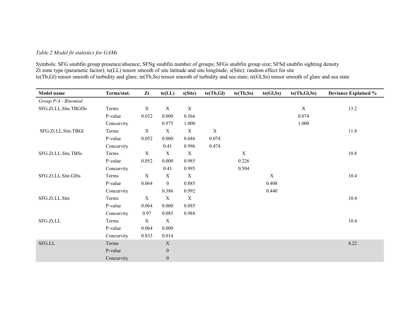#### *Table 2 Model fit statistics for GAMs*

Symbols: SFG snubfin group presence/absence; SFNg snubfin number of groups; SFGs snubfin group size; SFSd snubfin sighting density Zt zone type (parametic factor); te(LL) tensor smooth of site latitude and site longitude; s(Site): random effect for site te(Tb,Gl) tensor smooth of turbidity and glare; te(Tb,Ss) tensor smooth of turbidity and sea state; te(Gl,Ss) tensor smooth of glare and sea state

| Model name            | Terms/stat. | Zt                        | te(LL)           | s(Site)     | te(Tb, Gl)  | te(Tb, Ss) | te(Gl, Ss)       | te(Tb, GI, Ss) | <b>Deviance Explained %</b> |
|-----------------------|-------------|---------------------------|------------------|-------------|-------------|------------|------------------|----------------|-----------------------------|
| Group P/A - Binomial  |             |                           |                  |             |             |            |                  |                |                             |
| SFG.Zt.LL.Site.TBGlSs | Terms       | $\mathbf X$               | $\mathbf X$      | $\mathbf X$ |             |            |                  | $\mathbf X$    | 13.2                        |
|                       | P-value     | 0.032                     | 0.000            | 0.566       |             |            |                  | 0.074          |                             |
|                       | Concurvity  |                           | 0.975            | 1.000       |             |            |                  | 1.000          |                             |
| SFG.Zt.LL.Site.TBGl   | Terms       | X                         | $\mathbf X$      | $\mathbf X$ | $\mathbf X$ |            |                  |                | 11.8                        |
|                       | P-value     | 0.052                     | 0.000            | 0.686       | 0.074       |            |                  |                |                             |
|                       | Concurvity  |                           | 0.41             | 0.996       | 0.474       |            |                  |                |                             |
| SFG.Zt.LL.Site.TBSs   | Terms       | $\mathbf X$               | $\mathbf X$      | $\mathbf X$ |             | X          |                  |                | 10.8                        |
|                       | P-value     | 0.052                     | 0.000            | 0.985       |             | 0.226      |                  |                |                             |
|                       | Concurvity  |                           | 0.41             | 0.995       |             | 0.504      |                  |                |                             |
| SFG.Zt.LL.Site.GlSs   | Terms       | $\boldsymbol{\mathrm{X}}$ | $\mathbf X$      | $\mathbf X$ |             |            | $\boldsymbol{X}$ |                | 10.4                        |
|                       | P-value     | 0.064                     | $\boldsymbol{0}$ | 0.885       |             |            | 0.408            |                |                             |
|                       | Concurvity  |                           | 0.386            | 0.992       |             |            | 0.440            |                |                             |
| SFG.Zt.LL.Site        | Terms       | $\mathbf X$               | $\mathbf X$      | $\mathbf X$ |             |            |                  |                | 10.4                        |
|                       | P-value     | 0.064                     | 0.000            | 0.885       |             |            |                  |                |                             |
|                       | Concurvity  | 0.97                      | 0.085            | 0.988       |             |            |                  |                |                             |
| SFG.Zt.LL             | Terms       | $\mathbf X$               | $\mathbf X$      |             |             |            |                  |                | 10.4                        |
|                       | P-value     | 0.064                     | 0.000            |             |             |            |                  |                |                             |
|                       | Concurvity  | 0.833                     | 0.014            |             |             |            |                  |                |                             |
| ${\rm SFG.LL}$        | Terms       |                           | $\mathbf X$      |             |             |            |                  |                | 8.22                        |
|                       | P-value     |                           | $\mathbf{0}$     |             |             |            |                  |                |                             |
|                       | Concurvity  |                           | $\boldsymbol{0}$ |             |             |            |                  |                |                             |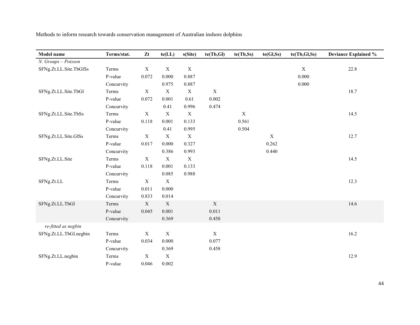| Model name             | Terms/stat. | Zt          | te (LL)     | s(Site)     | te(Tb,Gl)   | te(Tb,Ss)   | te(Gl, Ss)  | te(Tb,Gl,Ss) | <b>Deviance Explained %</b> |
|------------------------|-------------|-------------|-------------|-------------|-------------|-------------|-------------|--------------|-----------------------------|
| N. Groups - Poisson    |             |             |             |             |             |             |             |              |                             |
| SFNg.Zt.LL.Site.TbGlSs | Terms       | $\mathbf X$ | $\mathbf X$ | $\mathbf X$ |             |             |             | $\mathbf X$  | 22.8                        |
|                        | P-value     | 0.072       | 0.000       | 0.887       |             |             |             | 0.000        |                             |
|                        | Concurvity  |             | 0.975       | 0.887       |             |             |             | 0.000        |                             |
| SFNg.Zt.LL.Site.TbGl   | Terms       | $\mathbf X$ | $\mathbf X$ | $\mathbf X$ | $\mathbf X$ |             |             |              | 18.7                        |
|                        | P-value     | 0.072       | 0.001       | 0.61        | 0.002       |             |             |              |                             |
|                        | Concurvity  |             | 0.41        | 0.996       | 0.474       |             |             |              |                             |
| SFNg.Zt.LL.Site.TbSs   | Terms       | $\mathbf X$ | $\mathbf X$ | $\mathbf X$ |             | $\mathbf X$ |             |              | 14.5                        |
|                        | P-value     | 0.118       | 0.001       | 0.133       |             | 0.561       |             |              |                             |
|                        | Concurvity  |             | 0.41        | 0.995       |             | 0.504       |             |              |                             |
| SFNg.Zt.LL.Site.GlSs   | Terms       | $\mathbf X$ | $\mathbf X$ | $\mathbf X$ |             |             | $\mathbf X$ |              | 12.7                        |
|                        | P-value     | 0.017       | 0.000       | 0.327       |             |             | 0.262       |              |                             |
|                        | Concurvity  |             | 0.386       | 0.993       |             |             | 0.440       |              |                             |
| SFNg.Zt.LL.Site        | Terms       | $\mathbf X$ | $\mathbf X$ | $\mathbf X$ |             |             |             |              | 14.5                        |
|                        | P-value     | 0.118       | 0.001       | 0.133       |             |             |             |              |                             |
|                        | Concurvity  |             | 0.085       | 0.988       |             |             |             |              |                             |
| SFNg.Zt.LL             | Terms       | $\mathbf X$ | $\mathbf X$ |             |             |             |             |              | 12.3                        |
|                        | P-value     | 0.011       | 0.000       |             |             |             |             |              |                             |
|                        | Concurvity  | 0.833       | 0.014       |             |             |             |             |              |                             |
| SFNg.Zt.LL.TbGl        | Terms       | X           | $\mathbf X$ |             | $\mathbf X$ |             |             |              | 14.6                        |
|                        | P-value     | 0.045       | 0.001       |             | 0.011       |             |             |              |                             |
|                        | Concurvity  |             | 0.369       |             | 0.458       |             |             |              |                             |
| re-fitted as negbin    |             |             |             |             |             |             |             |              |                             |
| SFNg.Zt.LL.TbGl.negbin | Terms       | $\mathbf X$ | $\mathbf X$ |             | $\mathbf X$ |             |             |              | 16.2                        |
|                        | P-value     | 0.034       | 0.000       |             | 0.077       |             |             |              |                             |
|                        | Concurvity  |             | 0.369       |             | 0.458       |             |             |              |                             |
| SFNg.Zt.LL.negbin      | Terms       | $\mathbf X$ | $\mathbf X$ |             |             |             |             |              | 12.9                        |
|                        | P-value     | 0.046       | 0.002       |             |             |             |             |              |                             |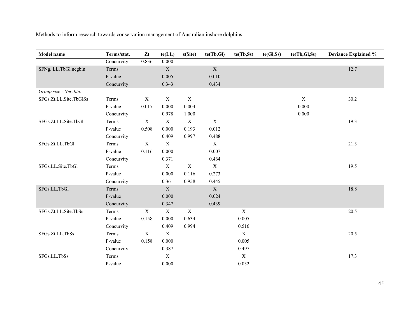| Model name             | Terms/stat. | Zt               | $te(\mathbf{LL})$ | s(Site)     | te(Tb, GI)  | te(Tb, Ss)                | te(Gl, Ss) | te(Tb,Gl,Ss) | <b>Deviance Explained %</b> |
|------------------------|-------------|------------------|-------------------|-------------|-------------|---------------------------|------------|--------------|-----------------------------|
|                        | Concurvity  | 0.836            | 0.000             |             |             |                           |            |              |                             |
| SFNg. LL.TbGl.negbin   | Terms       |                  | $\mathbf X$       |             | $\mathbf X$ |                           |            |              | 12.7                        |
|                        | P-value     |                  | 0.005             |             | 0.010       |                           |            |              |                             |
|                        | Concurvity  |                  | 0.343             |             | 0.434       |                           |            |              |                             |
| Group size - Neg.bin.  |             |                  |                   |             |             |                           |            |              |                             |
| SFGs.Zt.LL.Site.TbGlSs | Terms       | $\mathbf X$      | $\mathbf X$       | $\mathbf X$ |             |                           |            | $\mathbf X$  | 30.2                        |
|                        | P-value     | 0.017            | 0.000             | 0.004       |             |                           |            | 0.000        |                             |
|                        | Concurvity  |                  | 0.978             | 1.000       |             |                           |            | 0.000        |                             |
| SFGs.Zt.LL.Site.TbGl   | Terms       | $\mathbf X$      | $\mathbf X$       | $\mathbf X$ | $\mathbf X$ |                           |            |              | 19.3                        |
|                        | P-value     | 0.508            | 0.000             | 0.193       | 0.012       |                           |            |              |                             |
|                        | Concurvity  |                  | 0.409             | 0.997       | 0.488       |                           |            |              |                             |
| SFGs.Zt.LL.TbGl        | Terms       | $\mathbf X$      | $\mathbf X$       |             | $\mathbf X$ |                           |            |              | 21.3                        |
|                        | P-value     | 0.116            | 0.000             |             | 0.007       |                           |            |              |                             |
|                        | Concurvity  |                  | 0.371             |             | 0.464       |                           |            |              |                             |
| SFGs.LL.Site.TbGl      | Terms       |                  | $\mathbf X$       | $\mathbf X$ | $\mathbf X$ |                           |            |              | 19.5                        |
|                        | P-value     |                  | 0.000             | 0.116       | 0.273       |                           |            |              |                             |
|                        | Concurvity  |                  | 0.361             | 0.958       | 0.445       |                           |            |              |                             |
| SFGs.LL.TbGl           | Terms       |                  | $\mathbf X$       |             | $\mathbf X$ |                           |            |              | 18.8                        |
|                        | P-value     |                  | 0.000             |             | 0.024       |                           |            |              |                             |
|                        | Concurvity  |                  | 0.347             |             | 0.439       |                           |            |              |                             |
| SFGs.Zt.LL.Site.TbSs   | Terms       | $\mathbf X$      | $\mathbf X$       | $\mathbf X$ |             | $\boldsymbol{\mathrm{X}}$ |            |              | 20.5                        |
|                        | P-value     | 0.158            | 0.000             | 0.634       |             | 0.005                     |            |              |                             |
|                        | Concurvity  |                  | 0.409             | 0.994       |             | 0.516                     |            |              |                             |
| SFGs.Zt.LL.TbSs        | Terms       | $\boldsymbol{X}$ | $\mathbf X$       |             |             | $\mathbf X$               |            |              | 20.5                        |
|                        | P-value     | 0.158            | 0.000             |             |             | 0.005                     |            |              |                             |
|                        | Concurvity  |                  | 0.387             |             |             | 0.497                     |            |              |                             |
| SFGs.LL.TbSs           | Terms       |                  | $\mathbf X$       |             |             | $\mathbf X$               |            |              | 17.3                        |
|                        | P-value     |                  | 0.000             |             |             | 0.032                     |            |              |                             |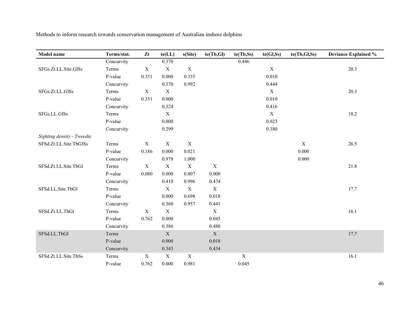| Model name                 | Terms/stat. | Zt          | $te(\mathbf{LL})$ | s(Site)     | te(Tb,Gl)   | te(Tb, Ss)  | te(Gl, Ss)       | te(Tb,Gl,Ss) | <b>Deviance Explained %</b> |
|----------------------------|-------------|-------------|-------------------|-------------|-------------|-------------|------------------|--------------|-----------------------------|
|                            | Concurvity  |             | 0.370             |             |             | 0.446       |                  |              |                             |
| SFGs.Zt.LL.Site.GlSs       | Terms       | $\mathbf X$ | $\mathbf X$       | $\mathbf X$ |             |             | $\boldsymbol{X}$ |              | 20.3                        |
|                            | P-value     | 0.351       | 0.000             | 0.335       |             |             | 0.010            |              |                             |
|                            | Concurvity  |             | 0.370             | 0.992       |             |             | 0.444            |              |                             |
| SFGs.Zt.LL.GlSs            | Terms       | $\mathbf X$ | $\mathbf X$       |             |             |             | $\mathbf X$      |              | 20.3                        |
|                            | P-value     | 0.351       | 0.000             |             |             |             | 0.010            |              |                             |
|                            | Concurvity  |             | 0.324             |             |             |             | 0.416            |              |                             |
| SFGs.LL.GlSs               | Terms       |             | $\boldsymbol{X}$  |             |             |             | $\boldsymbol{X}$ |              | 18.2                        |
|                            | P-value     |             | 0.000             |             |             |             | 0.023            |              |                             |
|                            | Concurvity  |             | 0.299             |             |             |             | 0.380            |              |                             |
| Sighting density - Tweedie |             |             |                   |             |             |             |                  |              |                             |
| SFSd.Zt.LL.Site.TbGlSs     | Terms       | X           | $\mathbf X$       | $\mathbf X$ |             |             |                  | $\mathbf X$  | 26.5                        |
|                            | P-value     | 0.186       | 0.000             | 0.021       |             |             |                  | 0.000        |                             |
|                            | Concurvity  |             | 0.978             | 1.000       |             |             |                  | 0.000        |                             |
| SFSd.Zt.LL.Site.TbGl       | Terms       | $\mathbf X$ | $\mathbf X$       | $\mathbf X$ | $\mathbf X$ |             |                  |              | 21.8                        |
|                            | P-value     | 0.080       | 0.000             | 0.007       | 0.000       |             |                  |              |                             |
|                            | Concurvity  |             | 0.410             | 0.996       | 0.474       |             |                  |              |                             |
| SFSd.LL.Site.TbGl          | Terms       |             | $\mathbf X$       | $\mathbf X$ | $\mathbf X$ |             |                  |              | 17.7                        |
|                            | P-value     |             | 0.000             | 0.698       | 0.018       |             |                  |              |                             |
|                            | Concurvity  |             | 0.360             | 0.957       | 0.441       |             |                  |              |                             |
| SFSd.Zt.LL.TbGl            | Terms       | $\mathbf X$ | $\mathbf X$       |             | $\mathbf X$ |             |                  |              | 16.1                        |
|                            | P-value     | 0.762       | 0.000             |             | 0.045       |             |                  |              |                             |
|                            | Concurvity  |             | 0.386             |             | 0.488       |             |                  |              |                             |
| SFSd.LL.TbGl               | Terms       |             | $\mathbf X$       |             | $\mathbf X$ |             |                  |              | 17.7                        |
|                            | P-value     |             | 0.000             |             | 0.018       |             |                  |              |                             |
|                            | Concurvity  |             | 0.343             |             | 0.434       |             |                  |              |                             |
| SFSd.Zt.LL.Site.TbSs       | Terms       | X           | $\mathbf X$       | $\mathbf X$ |             | $\mathbf X$ |                  |              | 16.1                        |
|                            | P-value     | 0.762       | 0.000             | 0.981       |             | 0.045       |                  |              |                             |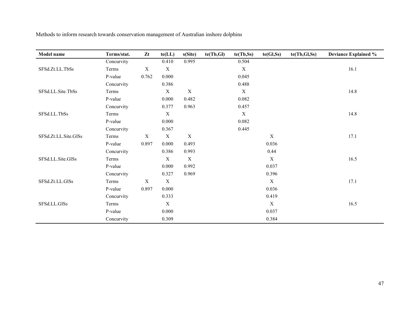| <b>Model name</b>    | Terms/stat. | Zt          | te(LL)      | s(Site)     | te(Tb, Gl) | te(Tb,Ss)   | te(Gl, Ss)  | te(Tb, GI, Ss) | <b>Deviance Explained %</b> |
|----------------------|-------------|-------------|-------------|-------------|------------|-------------|-------------|----------------|-----------------------------|
|                      | Concurvity  |             | 0.410       | 0.995       |            | 0.504       |             |                |                             |
| SFSd.Zt.LL.TbSs      | Terms       | $\mathbf X$ | $\mathbf X$ |             |            | $\mathbf X$ |             |                | 16.1                        |
|                      | P-value     | 0.762       | 0.000       |             |            | 0.045       |             |                |                             |
|                      | Concurvity  |             | 0.386       |             |            | 0.488       |             |                |                             |
| SFSd.LL.Site.TbSs    | Terms       |             | $\mathbf X$ | $\mathbf X$ |            | $\mathbf X$ |             |                | 14.8                        |
|                      | P-value     |             | 0.000       | 0.482       |            | 0.082       |             |                |                             |
|                      | Concurvity  |             | 0.377       | 0.963       |            | 0.457       |             |                |                             |
| SFSd.LL.TbSs         | Terms       |             | $\mathbf X$ |             |            | $\mathbf X$ |             |                | 14.8                        |
|                      | P-value     |             | 0.000       |             |            | 0.082       |             |                |                             |
|                      | Concurvity  |             | 0.367       |             |            | 0.445       |             |                |                             |
| SFSd.Zt.LL.Site.GlSs | Terms       | X           | $\mathbf X$ | $\mathbf X$ |            |             | $\mathbf X$ |                | 17.1                        |
|                      | P-value     | 0.897       | 0.000       | 0.493       |            |             | 0.036       |                |                             |
|                      | Concurvity  |             | 0.386       | 0.993       |            |             | 0.44        |                |                             |
| SFSd.LL.Site.GlSs    | Terms       |             | $\mathbf X$ | $\mathbf X$ |            |             | $\mathbf X$ |                | 16.5                        |
|                      | P-value     |             | 0.000       | 0.992       |            |             | 0.037       |                |                             |
|                      | Concurvity  |             | 0.327       | 0.969       |            |             | 0.396       |                |                             |
| SFSd.Zt.LL.GlSs      | Terms       | $\mathbf X$ | $\mathbf X$ |             |            |             | X           |                | 17.1                        |
|                      | P-value     | 0.897       | 0.000       |             |            |             | 0.036       |                |                             |
|                      | Concurvity  |             | 0.333       |             |            |             | 0.419       |                |                             |
| SFSd.LL.GlSs         | Terms       |             | $\mathbf X$ |             |            |             | $\mathbf X$ |                | 16.5                        |
|                      | P-value     |             | 0.000       |             |            |             | 0.037       |                |                             |
|                      | Concurvity  |             | 0.309       |             |            |             | 0.384       |                |                             |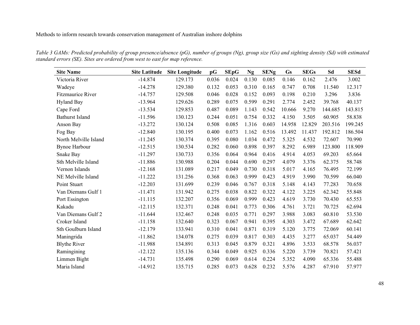*Table 3 GAMs: Predicted probability of group presence/absence (pG), number of groups (Ng), group size (Gs) and sighting density (Sd) with estimated standard errors (SE). Sites are ordered from west to east for map reference.* 

| <b>Site Name</b>         | <b>Site Latitude</b> | <b>Site Longitude</b> | pG    | <b>SEpG</b> | <b>Ng</b> | <b>SENg</b> | <b>Gs</b> | <b>SEGs</b> | Sd      | <b>SESd</b> |
|--------------------------|----------------------|-----------------------|-------|-------------|-----------|-------------|-----------|-------------|---------|-------------|
| Victoria River           | $-14.874$            | 129.173               | 0.036 | 0.024       | 0.130     | 0.085       | 0.146     | 0.162       | 2.476   | 3.002       |
| Wadeye                   | $-14.278$            | 129.380               | 0.132 | 0.053       | 0.310     | 0.165       | 0.747     | 0.708       | 11.540  | 12.317      |
| <b>Fitzmaurice River</b> | $-14.757$            | 129.508               | 0.046 | 0.028       | 0.152     | 0.093       | 0.198     | 0.210       | 3.296   | 3.836       |
| <b>Hyland Bay</b>        | $-13.964$            | 129.626               | 0.289 | 0.075       | 0.599     | 0.291       | 2.774     | 2.452       | 39.768  | 40.137      |
| Cape Ford                | $-13.534$            | 129.853               | 0.487 | 0.089       | 1.143     | 0.542       | 10.666    | 9.270       | 144.685 | 143.815     |
| <b>Bathurst Island</b>   | $-11.596$            | 130.123               | 0.244 | 0.051       | 0.754     | 0.332       | 4.150     | 3.505       | 60.905  | 58.838      |
| Anson Bay                | $-13.272$            | 130.124               | 0.508 | 0.085       | 1.316     | 0.603       | 14.958    | 12.829      | 203.516 | 199.245     |
| Fog Bay                  | $-12.840$            | 130.195               | 0.400 | 0.073       | 1.162     | 0.516       | 13.492    | 11.437      | 192.812 | 186.504     |
| North Melville Island    | $-11.245$            | 130.374               | 0.395 | 0.080       | 1.034     | 0.472       | 5.325     | 4.532       | 72.607  | 70.990      |
| <b>Bynoe Harbour</b>     | $-12.515$            | 130.534               | 0.282 | 0.060       | 0.898     | 0.397       | 8.292     | 6.989       | 123.800 | 118.909     |
| Snake Bay                | $-11.297$            | 130.733               | 0.356 | 0.064       | 0.964     | 0.416       | 4.914     | 4.053       | 69.203  | 65.664      |
| Sth Melville Island      | $-11.886$            | 130.988               | 0.204 | 0.044       | 0.690     | 0.297       | 4.079     | 3.376       | 62.375  | 58.748      |
| Vernon Islands           | $-12.168$            | 131.089               | 0.217 | 0.049       | 0.730     | 0.318       | 5.017     | 4.165       | 76.495  | 72.199      |
| NE Melville Island       | $-11.222$            | 131.256               | 0.368 | 0.063       | 0.999     | 0.423       | 4.919     | 3.990       | 70.599  | 66.040      |
| Point Stuart             | $-12.203$            | 131.699               | 0.239 | 0.046       | 0.767     | 0.318       | 5.148     | 4.143       | 77.283  | 70.658      |
| Van Diemans Gulf 1       | $-11.471$            | 131.942               | 0.275 | 0.038       | 0.822     | 0.322       | 4.122     | 3.225       | 62.342  | 55.848      |
| Port Essington           | $-11.115$            | 132.207               | 0.356 | 0.069       | 0.999     | 0.423       | 4.619     | 3.730       | 70.430  | 65.553      |
| Kakadu                   | $-12.115$            | 132.371               | 0.248 | 0.041       | 0.773     | 0.306       | 4.761     | 3.721       | 70.725  | 62.694      |
| Van Diemans Gulf 2       | $-11.644$            | 132.467               | 0.248 | 0.035       | 0.771     | 0.297       | 3.988     | 3.083       | 60.810  | 53.530      |
| Croker Island            | $-11.158$            | 132.640               | 0.323 | 0.067       | 0.941     | 0.395       | 4.303     | 3.472       | 67.689  | 62.642      |
| Sth Goulburn Island      | $-12.179$            | 133.941               | 0.310 | 0.041       | 0.871     | 0.319       | 5.120     | 3.775       | 72.069  | 60.141      |
| Maningrida               | $-11.862$            | 134.078               | 0.275 | 0.039       | 0.817     | 0.303       | 4.435     | 3.277       | 65.037  | 54.449      |
| <b>Blythe River</b>      | $-11.988$            | 134.891               | 0.313 | 0.045       | 0.879     | 0.321       | 4.896     | 3.533       | 68.578  | 56.037      |
| Ramingining              | $-12.122$            | 135.136               | 0.344 | 0.049       | 0.925     | 0.336       | 5.220     | 3.739       | 70.821  | 57.421      |
| Limmen Bight             | $-14.731$            | 135.498               | 0.290 | 0.069       | 0.614     | 0.224       | 5.352     | 4.090       | 65.336  | 55.488      |
| Maria Island             | $-14.912$            | 135.715               | 0.285 | 0.073       | 0.628     | 0.232       | 5.576     | 4.287       | 67.910  | 57.977      |